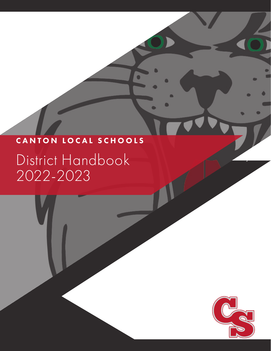# CANTON LOCAL SCHOOLS

O

O

District Handbook 2022-2023

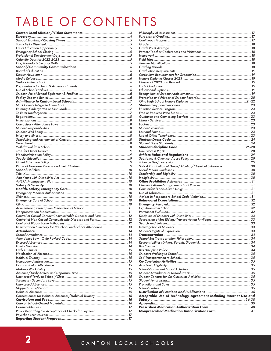# TABLE OF CONTENTS

|                                                              | Sale & Distribution of Drugs/Alcohol/Chemical Substance 30        |  |
|--------------------------------------------------------------|-------------------------------------------------------------------|--|
|                                                              |                                                                   |  |
|                                                              |                                                                   |  |
|                                                              |                                                                   |  |
|                                                              |                                                                   |  |
|                                                              |                                                                   |  |
|                                                              |                                                                   |  |
|                                                              |                                                                   |  |
|                                                              |                                                                   |  |
|                                                              |                                                                   |  |
|                                                              |                                                                   |  |
|                                                              |                                                                   |  |
|                                                              |                                                                   |  |
| Control of Casual Contact Communicable Diseases and Pests 12 |                                                                   |  |
| Control of Non Casual Communicable Diseases and Pests  12    |                                                                   |  |
|                                                              |                                                                   |  |
| Immunization Summary for Preschool and School Attendance 13  |                                                                   |  |
|                                                              |                                                                   |  |
|                                                              |                                                                   |  |
|                                                              |                                                                   |  |
|                                                              |                                                                   |  |
|                                                              |                                                                   |  |
|                                                              |                                                                   |  |
|                                                              |                                                                   |  |
|                                                              |                                                                   |  |
|                                                              |                                                                   |  |
|                                                              |                                                                   |  |
|                                                              |                                                                   |  |
|                                                              |                                                                   |  |
|                                                              |                                                                   |  |
|                                                              |                                                                   |  |
|                                                              |                                                                   |  |
|                                                              |                                                                   |  |
|                                                              |                                                                   |  |
|                                                              | Acceptable Use of Technology Agreement Including Internet Use and |  |
|                                                              |                                                                   |  |
|                                                              |                                                                   |  |
|                                                              |                                                                   |  |
|                                                              |                                                                   |  |
|                                                              |                                                                   |  |
|                                                              |                                                                   |  |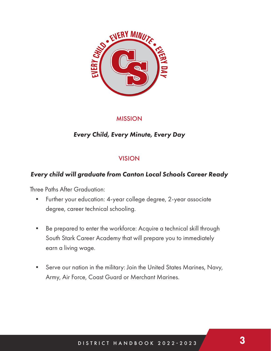

# MISSION

# *Every Child, Every Minute, Every Day*

# VISION

# *Every child will graduate from Canton Local Schools Career Ready*

Three Paths After Graduation:

- Further your education: 4-year college degree, 2-year associate degree, career technical schooling.
- Be prepared to enter the workforce: Acquire a technical skill through South Stark Career Academy that will prepare you to immediately earn a living wage.
- Serve our nation in the military: Join the United States Marines, Navy, Army, Air Force, Coast Guard or Merchant Marines.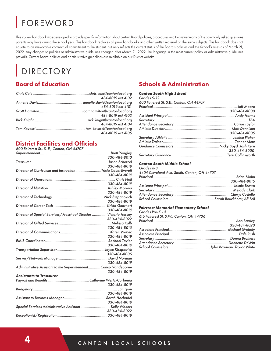# FOREWORD

This student handbook was developed to provide specific information about certain Board policies, procedures and to answer many of the commonly asked questions parents may have during the school year. This handbook replaces all prior handbooks and other written material on the same subjects. This handbook does not equate to an irrevocable contractual commitment to the student, but only reflects the current status of the Board's policies and the School's rules as of March 21, 2022. Any changes to policies or administrative guidelines changed after March 21, 2022, the language in the most current policy or administrative guidelines prevails. Current Board policies and administrative guidelines are available on our District website.

# DIRECTORY

# Board of Education

| 484-8019 ext 4102 |
|-------------------|
|                   |
| 484-8019 ext 4101 |
|                   |
| 484-8019 ext 4103 |
|                   |
| 484-8019 ext 4104 |
|                   |
| 484-8019 ext 4105 |

# District Facilities and Officials

*600 Faircrest St., S. E., Canton, OH 44707*

|                                                                  | 330-484-8010 |
|------------------------------------------------------------------|--------------|
|                                                                  |              |
|                                                                  | 330-484-8019 |
| Director of Curriculum and Instruction  Tricia Couts-Everett     |              |
|                                                                  | 330-484-8019 |
|                                                                  |              |
|                                                                  | 330-484-8019 |
|                                                                  |              |
|                                                                  | 330-484-8019 |
|                                                                  |              |
|                                                                  | 330-484-8019 |
|                                                                  |              |
|                                                                  | 330-484-8019 |
| Director of Special Services/Preschool Director  Victoria Hessey |              |
|                                                                  | 330-484-8022 |
|                                                                  |              |
|                                                                  | 330-484-8015 |
|                                                                  |              |
|                                                                  | 330-484-8019 |
|                                                                  |              |
|                                                                  | 330-484-8019 |
|                                                                  |              |
|                                                                  | 330-484-8006 |
|                                                                  |              |
|                                                                  | 330-484-8019 |
| Administrative Assistant to the Superintendent Candy Vandeborne  |              |
|                                                                  | 330-484-8019 |
| <b>Assistants to Treasurer</b>                                   |              |
|                                                                  |              |
|                                                                  | 330-484-8019 |
|                                                                  |              |
|                                                                  | 330-484-8019 |
|                                                                  |              |
|                                                                  | 330-484-8019 |
|                                                                  |              |
|                                                                  | 330-484-8022 |
|                                                                  |              |

# Schools & Administration

#### *Canton South High School Grades 9-12*

| OIUUTS 7-IZ                              |              |
|------------------------------------------|--------------|
| 600 Faircrest St. S.E., Canton, OH 44707 |              |
|                                          |              |
|                                          | 330-484-8000 |
|                                          |              |
|                                          |              |
|                                          |              |
|                                          |              |
|                                          | 330-484-8005 |
|                                          |              |
|                                          |              |
|                                          |              |
|                                          | 330-484-8000 |
|                                          |              |
|                                          |              |

#### *Canton South Middle School*

*Grades 6-8 4404 Cleveland Ave. South, Canton, OH 44707*

| 330-484-8015 |
|--------------|
|              |
|              |
|              |
|              |

#### *Faircrest Memorial Elementary School*

*Grades Pre-K - 5 616 Faircrest St. S.W., Canton, OH 44706 Principal ..................................................................................... Ann Bartley 330-484-8020 Associate Principal.............................................................Michael Groholy Associate Principal........................................................................ Dale Rush Secretary ............................................................................. Donna Brothers Attendance Secretary.........................................................Dannette DeWitt School Counselors...........................................Tyler Bowman, Taylor White*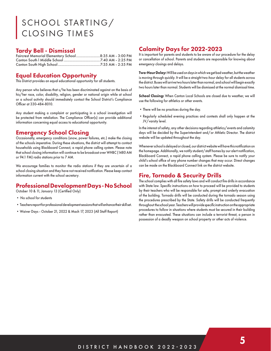# SCHOOL STARTING/ CLOSING TIMES

#### Tardy Bell - Dismissal

| Faircrest Memorial Elementary School8:35 AM - 3:00 PM |  |
|-------------------------------------------------------|--|
|                                                       |  |
|                                                       |  |

## Equal Education Opportunity

This District provides an equal educational opportunity for all students.

Any person who believes that s/he has been discriminated against on the basis of his/her race, color, disability, religion, gender or national origin while at school or a school activity should immediately contact the School District's Compliance Officer at 330-484-8010.

Any student making a complaint or participating in a school investigation will be protected from retaliation. The Compliance Officer(s) can provide additional information concerning equal access to educational opportunity.

# Emergency School Closing

Occasionally, emergency conditions (snow, power failures, etc.) make the closing of the schools imperative. During these situations, the district will attempt to contact households using Blackboard Connect, a rapid phone calling system. Please note that school closing information will continue to be broadcast over WHBC (1480 AM or 94.1 FM) radio stations prior to 7 AM.

We encourage families to monitor the radio stations if they are uncertain of a school closing situation and they have not received notification. Please keep contact information current with the school secretary.

## Professional Development Days - No School

October 10 & 11, January 13 (Certified Only)

- No school for students
- •Teachers report for professional development sessions that will enhance their skill set.
- •Waiver Days October 21, 2022 & Mach 17, 2023 (All Staff Report)

# Calamity Days for 2022-2023

It is important for parents and students to be aware of our procedure for the delay or cancellation of school. Parents and students are responsible for knowing about emergency closings and delays.

**Two-Hour Delay:** Will be used on days in which we get bad weather, but the weather is moving through quickly. It will be a straight two-hour delay for all students across the district. Buses will arrive two hours later than normal, and school will begin exactly two hours later than normal. Students will be dismissed at the normal dismissal time.

**School Closing:** When Canton Local Schools are closed due to weather, we will use the following for athletics or other events.

- •There will be no practices during the day.
- •Regularly scheduled evening practices and contests shall only happen at the JV/varsity level.

In the interest of safety, any other decisions regarding athletics/events and calamity days will be decided by the Superintendent and/or Athletic Director. The district website will be updated throughout the day.

Whenever school is delayed or closed, our district website will have this notification on the homepage. Additionally, we notify student/staff homes by our alert notification, Blackboard Connect, a rapid phone calling system. Please be sure to notify your child's school office of any phone number changes that may occur. Direct changes can be made on the Blackboard Connect link on the district website.

#### Fire, Tornado & Security Drills

The school complies with all fire safety laws and will conduct fire drills in accordance with State law. Specific instructions on how to proceed will be provided to students by their teachers who will be responsible for safe, prompt and orderly evacuation of the building. Tornado drills will be conducted during the tornado season using the procedures prescribed by the State. Safety drills will be conducted frequently throughout the school year. Teachers will provide specific instruction on the appropriate procedures to follow in situations where students must be secured in their building rather than evacuated. These situations can include a terrorist threat, a person in possession of a deadly weapon on school property or other acts of violence.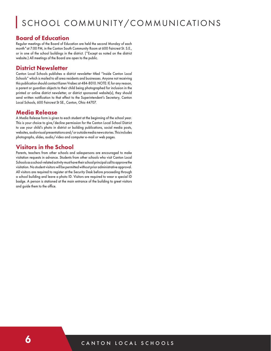# SCHOOL COMMUNITY/COMMUNICATIONS

#### Board of Education

Regular meetings of the Board of Education are held the second Monday of each month \* at 7:00 PM, in the Canton South Community Room at 600 Faircrest St. S.E., or in one of the school buildings in the district. (\*Except as noted on the district website.) All meetings of the Board are open to the public.

#### District Newsletter

Canton Local Schools publishes a district newsletter titled "Inside Canton Local Schools" which is mailed to all area residents and businesses. Anyone not receiving this publication should contact Karen Vrabec at 484-8010. NOTE: If, for any reason, a parent or guardian objects to their child being photographed for inclusion in the printed or online district newsletter, or district sponsored website(s), they should send written notification to that effect to the Superintendent's Secretary, Canton Local Schools, 600 Faircrest St SE., Canton, Ohio 44707.

#### Media Release

A Media Release form is given to each student at the beginning of the school year. This is your choice to give/decline permission for the Canton Local School District to use your child's photo in district or building publications, social media posts, websites, audiovisual presentations and/or outside media news stories. This includes photographs, slides, audio/video and computer e-mail or web pages.

## Visitors in the School

Parents, teachers from other schools and salespersons are encouraged to make visitation requests in advance. Students from other schools who visit Canton Local Schools as a school-related activity must have their school principal call to approve the visitation. No student visitors will be permitted without prior administrative approval. All visitors are required to register at the Security Desk before proceeding through a school building and leave a photo ID. Visitors are required to wear a special ID badge. A person is stationed at the main entrance of the building to greet visitors and guide them to the office.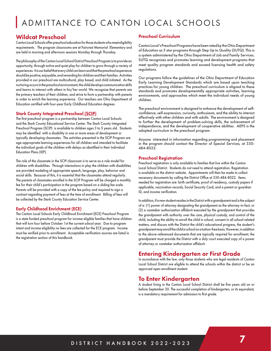# ADMITTANCE TO CANTON LOCAL SCHOOLS

#### Wildcat Preschool

Canton Local Schools offer preschool education for those students who meet eligibility requirements. The program classrooms are at Faircrest Memorial Elementary and are held in morning and afternoon sessions Monday through Thursday.

The philosophy of the Canton Local School District Preschool Program is to provide an opportunity, through active and quiet play for children to grow through a variety of experiences. It is our belief that every child can learn and that the preschool experience should be positive, enjoyable, and rewarding for children and their families. Activities provided in our preschool are multicultural, play based, and child initiated. As the nurturing occurs in the preschool environment, the child develops communication skills and learns to interact with others in his/her world. We recognize that parents are the primary teachers of their children, and strive to form a partnership with parents in order to enrich the learning experience. Our teachers are Ohio Department of Education certified with four-year Early Childhood Education degrees.

#### **Stark County Integrated Preschool (SCIP)**

The first preschool program is a partnership between Canton Local Schools and the Stark County Educational Service Center. The Stark County Integrated Preschool Program (SCIP) is available to children ages 3 to 5 years old. Students may be identified with a disability in one or more areas of development or typically developing classmates. The activities presented in the SCIP Program are age-appropriate learning experiences for all children and intended to facilitate the individual goals of the children with delays as identified in their Individual Education Plans (IEP).

The role of the classmate in the SCIP classroom is to serve as a role model for children with disabilities. Through interactions in play the children with disabilities are provided modeling of appropriate speech, language, play, behavior and social skills. Because of this, it is essential that the classmates attend regularly. The parents of classmates enrolled in the SCIP Program will be charged a monthly fee for their child's participation in the program based on a sliding fee scale. Parents will be provided with a copy of the fee policy and required to sign a contract regarding payment of fees at the time of enrollment. Billing of fees will be collected by the Stark County Education Service Center.

#### Early Childhood Enrichment (ECE)

The Canton Local Schools Early Childhood Enrichment (ECE) Preschool Program is a state funded preschool program for income eligible families that have children that will turn four before October 1st the current school year. Due to program intent and income eligibility no fees are collected for the ECE program. Income must be verified prior to enrollment. Acceptable verification sources are listed in the registration section of this handbook.

#### Preschool Curriculum

Canton Local's Preschool Programs have been rated by the Ohio Department of Education as 5 star programs through Step Up to Quality (SUTQ). This is a system administered by the Ohio Department of Job and Family Services. SUTQ recognizes and promotes learning and development programs that meet quality program standards and exceed licensing health and safety regulations.

Our programs follow the guidelines of the Ohio Department of Education Early Learning Development Standards which are based upon teaching practices for young children. The preschool curriculum is aligned to these standards and promotes developmentally appropriate activities, learning environments, and approaches which meet the individual needs of young children.

The preschool environment is designed to enhance the development of selfconfidence, self-expression, curiosity, enthusiasm, and the ability to interact effectively with other children and with adults. The environment is designed to further the development of problem-solving skills, the achievement of independence, and the development of cooperative abilities. AEPS is the adopted curriculum in the preschool program.

Anyone interested in information regarding programming and placement in the program should contact the Director of Special Services, at 330- 484-8022.

#### Preschool Registration

Preschool registration is only available to families that live within the Canton Local School District. Students do not need to attend registration. Registration is available on the district website. Appointments will then be made to collect necessary documents by calling the District Office at 330-484-8022. Items needed for registration are: birth certificate, proof of residency, custody papers if applicable, vaccination records, Social Security Card, and a parent or guardian ID, and income verification.

In addition, if a new student resides in the District with a grandparent and is the subject of a: (1) power of attorney designating the grandparent as the attorney-in-fact; or (2) a caretaker authorization affidavit executed by the grandparent that provides the grandparent with authority over the care, physical custody, and control of the child, including the ability to enroll the child in school, consent in all school-related matters, and discuss with the District the child's educational progress, the student's grandparent may enroll the child in school on a tuition-free basis. However, in addition to the above-referenced documents that are typically required for enrollment, the grandparent must provide the District with a duly court executed copy of a power of attorney or caretaker authorization affidavit.

#### Entering Kindergarten or First Grade

In accordance with the law, only those students who are legal residents of Canton Local School District are eligible to attend the schools within the district or be an approved open enrollment student.

#### To Enter Kindergarten

A student living in the Canton Local School District shall be five years old on or before September 30. The successful completion of kindergarten, or its equivalent, is a mandatory requirement for admission to first grade.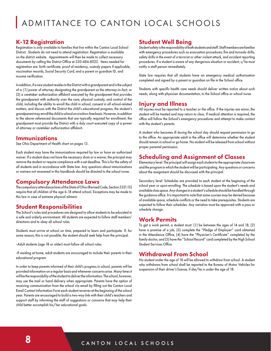# ADMITTANCE TO CANTON LOCAL SCHOOLS

## K-12 Registration

Registration is only available to families that live within the Canton Local School District. Students do not need to attend registration. Registration is available on the district website. Appointments will then be made to collect necessary documents by calling the District Office at 330-484-8022. Items needed for registration are: birth certificate, proof of residency, custody papers if applicable, vaccination records, Social Security Card, and a parent or guardian ID, and income verification.

In addition, if a new student resides in the District with a grandparent and is the subject of a: (1) power of attorney designating the grandparent as the attorney-in-fact; or (2) a caretaker authorization affidavit executed by the grandparent that provides the grandparent with authority over the care, physical custody, and control of the child, including the ability to enroll the child in school, consent in all school-related matters, and discuss with the District the child's educational progress, the student's grandparent may enroll the child in school on a tuition-free basis. However, in addition to the above-referenced documents that are typically required for enrollment, the grandparent must provide the District with a duly court executed copy of a power of attorney or caretaker authorization affidavit.

#### Immunizations

See Ohio Department of Health chart on pages 13.

Each student may have the immunizations required by law or have an authorized waiver. If a student does not have the necessary shots or a waiver, the principal may remove the student or require compliance with a set deadline. This is for the safety of all students and in accordance with State law. Any questions about immunizations or waivers not answered in this handbook should be directed to the school nurse.

#### Compulsory Attendance Laws

The compulsory attendance laws of the State of Ohio (Revised Code, Section 3321.13) require that all children of the age 6-18 attend school. Exceptions may be made to this law in case of extreme physical ailment.

#### Student Responsibilities

The School's rules and procedures are designed to allow students to be educated in a safe and orderly environment. All students are expected to follow staff members' directions and to obey all school rules.

Students must arrive at school on time, prepared to learn and participate. If, for some reason, this is not possible, the student should seek help from the principal.

-Adult students (age 18 or older) must follow all school rules.

-If residing at home, adult students are encouraged to include their parents in their educational program.

In order to keep parents informed of their child's progress in school, parents will be provided information on a regular basis and whenever concerns arise. Many times it will be the responsibility of the student to deliver the information. The school, however, may use the mail or hand delivery when appropriate. Parents have the option of receiving communication from the school via email by filling out the Canton Local Email Contact Information Form each student receives at the beginning of the school year. Parents are encouraged to build a two-way link with their child's teachers and support staff by informing the staff of suggestions or concerns that may help their child better accomplish his/her educational goals.

## Student Well Being

Student safety is the responsibility of both students and staff. Staff members are familiar with emergency procedures such as evacuation procedures, fire and tornado drills, safety drills in the event of a terrorist or other violent attack, and accident reporting procedures. If a student is aware of any dangerous situation or accident, s/he must notify a staff person immediately.

State law requires that all students have an emergency medical authorization completed and signed by a parent or guardian on file in the School office.

Students with specific health care needs should deliver written notice about such needs, along with physician documentation, to the School office or school nurse.

## Injury and Illness

All injuries must be reported to a teacher or the office. If the injuries are minor, the student will be treated and may return to class. If medical attention is required, the office will follow the School's emergency procedures and attempt to make contact with the student's parents.

A student who becomes ill during the school day should request permission to go to the office. An appropriate adult in the office will determine whether the student should remain in school or go home. No student will be released from school without proper parental permission.

## Scheduling and Assignment of Classes

Elementary level: The principal will assign each student to the appropriate classroom and the program in which the student will be participating. Any questions or concerns about the assignment should be discussed with the principal.

Secondary level: Schedules are provided to each student at the beginning of the school year or upon enrolling. The schedule is based upon the student's needs and available class space. Any changes in a student's schedule should be handled through the guidance office. It is important to note that some courses may be denied because of available space, schedule conflicts or the need to take prerequisites. Students are expected to follow their schedules. Any variation must be approved with a pass or schedule change.

#### Work Permits

To get a work permit, a student must: (1) be between the ages of 14 and 18, (2) have a promise of a job, (3) complete the "Pledge of Employer" card obtained in the Attendance Office, (4) have the "Physician's Certificate" completed by the family doctor, and (5) have the "School Record" card completed by the High School Student Services Office.

#### Withdrawal From School

No student under the age of 18 will be allowed to withdraw from school. A student who withdraws from school shall be reported to the Bureau of Motor Vehicles for suspension of their driver's license, if she/he is under the age of 18.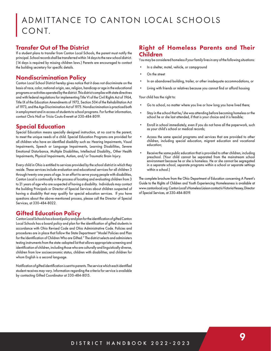# ADMITTANCE TO CANTON LOCAL SCHOOLS CONT.

## Transfer Out of The District

If a student plans to transfer from Canton Local Schools, the parent must notify the principal. School records shall be transferred within 14 days to the new school district. (14 days is required by missing children laws.) Parents are encouraged to contact the building secretary for specific details.

## Nondiscrimination Policy

Canton Local School District hereby gives notice that it does not discriminate on the basis of race, color, national origin, sex, religion, handicap or age in the educational programs or activities operated by the district. This district complies with state directives and with federal regulations for implementing Title VI of the Civil Rights Act of 1964, Title IX of the Education Amendments of 1972, Section 504 of the Rehabilitation Act of 1973, and the Age Discrimination Act of 1975. Nondiscrimination is practiced both in employment and in access of students to school programs. For further information, contact Chris Noll or Tricia Couts-Everett at 330-484-8019.

## Special Education

Special Education means specially designed instruction, at no cost to the parent, to meet the unique needs of a child. Special Education Programs are provided for all children who have an identified disability such as: Hearing Impairments, Visual Impairments, Speech or Language Impairments, Learning Disabilities, Severe Emotional Disturbance, Multiple Disabilities, Intellectual Disability,, Other Health Impairments, Physical Impairments, Autism, and/or Traumatic Brain Injury.

Every child in Ohio is entitled to services provided by the school district in which they reside. These services include evaluation and educational services for all children 3 through twenty one years of age. In an effort to serve young people with disabilities, Canton Local is continually in the process of locating and evaluating children from 3 to 21 years of age who are suspected of having a disability. Individuals may contact the building Principals or Director of Special Services about children suspected of having a disability that may qualify for special education services. If you have questions about the above-mentioned process, please call the Director of Special Services, at 330-484-8022.

# Gifted Education Policy

Canton Local Schools has a board policy and plan for the identification of gifted Canton Local Schools has a board policy and plan for the identification of gifted students in accordance with Ohio Revised Code and Ohio Administrative Code. Policies and procedures are in place that follow the State Department "Model Policies and Plan for the Identification of Children Who are Gifted." The district selects and administers testing instruments from the state-adopted list that allows appropriate screening and identification of children, including those who are culturally and linguistically diverse, children from low socioeconomic status, children with disabilities, and children for whom English is a second language.

Notification of gifted identification is sent to parents. The service which each identified student receives may vary. Information regarding the criteria for service is available by contacting Gifted Coordinator at 330-484-8015.

## Right of Homeless Parents and Their Children

You may be considered homeless if your family lives in any of the following situations:

- In a shelter, motel, vehicle, or campground
- On the street
- In an abandoned building, trailer, or other inadequate accommodations, or
- Living with friends or relatives because you cannot find or afford housing

Your child has the right to:

- Go to school, no matter where you live or how long you have lived there;
- Stay in the school that he/she was attending before becoming homeless or the school he or she last attended, if that is your choice and it is feasible;
- Enroll in school immediately, even if you do not have all the paperwork, such as your child's school or medical records;
- Access the same special programs and services that are provided to other children, including special education, migrant education and vocational education;
- Receive the same public education that is provided to other children, including preschool. (Your child cannot be separated from the mainstream school environment because he or she is homeless. He or she cannot be segregated in a separate school, separate programs within a school or separate settings within a school.)

The complete brochure from the Ohio Department of Education concerning A Parent's Guide to the Rights of Children and Youth Experiencing Homelessness is available at www.cantonlocal.org. Canton Local's Homeless Liaison contact is Victoria Hessey, Director of Special Services, at 330-484-8019.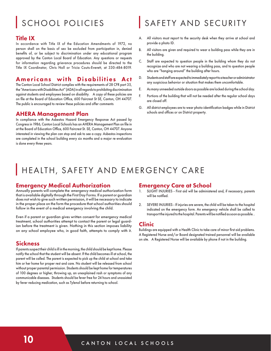# SCHOOL POLICIES

#### Title IX

In accordance with Title IX of the Education Amendments of 1972, no person shall on the basis of sex be excluded from participation in, denied benefits of, or be subject to discrimination under any educational program approved by the Canton Local Board of Education. Any questions or requests for information regarding grievance procedures should be directed to the Title IX Coordinator, Chris Noll or Tricia Couts-Everett, at 330-484-8019.

## Americans with Disabilities Act

The Canton Local School District complies with the requirements of 28 CFR part 35, the "Americans with Disabilities Act" (ADA) in all regards to prohibiting discrimination against students and employees based on disability. A copy of these policies are on file at the Board of Education Office, 600 Faircrest St SE, Canton, OH 44707. The public is encouraged to review these policies and offer comments

#### AHERA Management Plan

In compliance with the Asbestos Hazard Emergency Response Act passed by Congress in 1986, Canton Local Schools has an AHERA Management Plan on file in at the Board of Education Office, 600 Faircrest St. SE, Canton, OH 44707. Anyone interested in viewing the plan can stop and ask to see a copy. Asbestos inspections are completed in the school building every six months and a major re-evaluation is done every three years.

# SAFETY AND SECURITY

- A. All visitors must report to the security desk when they arrive at school and provide a photo ID.
- B. All visitors are given and required to wear a building pass while they are in the building.
- C. Staff are expected to question people in the building whom they do not recognize and who are not wearing a building pass, and to question people who are "hanging around" the building after hours.
- D. Students and staff are expected to immediately report to a teacher or administrator any suspicious behavior or situation that makes them uncomfortable.
- E. As many unneeded outside doors as possible are locked during the school day.
- F. Portions of the building that will not be needed after the regular school days are closed off.
- G. All district employees are to wear photo-identification badges while in District schools and offices or on District property.

# HEALTH, SAFETY AND EMERGENCY CARE

#### Emergency Medical Authorization

Annually parents will complete the emergency medical authorization form that is available digitally through the First Day Forms. If a parent or guardian does not wish to give such written permission, it will be necessary to indicate in the proper place on the form the procedure that school authorities should follow in the event of a medical emergency involving the child.

Even if a parent or guardian gives written consent for emergency medical treatment, school authorities attempt to contact the parent or legal guardian before the treatment is given. Nothing in this section imposes liability on any school employee who, in good faith, attempts to comply with it.

#### **Sickness**

If parents suspect their child is ill in the morning, the child should be kept home. Please notify the school that the student will be absent. If the child becomes ill at school, the parent will be called. The parent is expected to pick up the child at school and take him or her home for proper rest and care. No student will be released from school without proper parental permission. Students should be kept home for temperatures of 100 degrees or higher, throwing up, an unexplained rash or symptoms of any communicable diseases. Students should be fever free for 24 hours and unassisted by fever reducing medication, such as Tylenol before returning to school.

#### Emergency Care at School

- SLIGHT INJURIES First aid will be administered and, if necessary, parents will be notified.
- 2. SEVERE INJURIES If injuries are severe, the child will be taken to the hospital indicated on the emergency form. An emergency vehicle shall be called to transport the injured to the hospital. Parents will be notified as soon as possible. .

#### Clinic

Buildings are equipped with a Health Clinic to take care of minor first aid problems. A Registered Nurse and/or Board designated trained personnel will be available on site. A Registered Nurse will be available by phone if not in the building.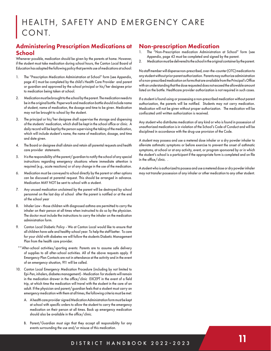# HEALTH, SAFETY AND EMERGENCY CARE CONT.

## Administering Prescription Medications at School

Whenever possible, medication should be given by the parents at home. However, if the student must take medication during school hours, the Canton Local Board of Education has adopted the following policy that permits use of medications at school:

- 1. The "Prescription Medication Administration at School" form (see Appendix, page 41) must be completed by the child's Health Care Provider and parent or guardian and approved by the school principal or his/her designee prior to medication being taken at school.
- 2. Medication must be brought to the school by the parent. The medication needs to be in the original bottle. Paperwork and medication bottle should include name of student, name of medication, the dosage and time to be given. Medication may not be brought to school by the student.
- 3. The principal or his/her designee shall supervise the storage and dispensing of the students' medication, which shall be kept in the school office or clinic. A daily record will be kept by the person supervising the taking of the medication, which will include student's name, the name of medication, dosage, and time and date given.
- 4. The Board or designee shall obtain and retain all parental requests and health care provider statements.
- 5. It is the responsibility of the parent/guardian to notify the school of any special instructions regarding emergency situations where immediate attention is required (e.g., acute reactions) or of any change in the use of the medication.
- 6. Medication must be conveyed to school directly by the parent or other options can be discussed at parental request. This should be arranged in advance. Medication MAY NOT be sent to school with a student.
- 7. Any unused medication unclaimed by the parent will be destroyed by school personnel on the last day of school after the parent is notified or at the end of the school year
- 8. Inhaler Law those children with diagnosed asthma are permitted to carry the inhaler on their person at all times when instructed to do so by the physician. The doctor must include the instructions to carry the inhaler on the medication administration form.
- 9. Canton Local Diabetic Policy We at Canton Local would like to ensure that all children have safe and healthy school year. To help the staff better. To care for your child with diabetes we will follow the students Diabetic Management Plan from the health care provider.
- \*\*After-school activities/sporting events: Parents are to assume safe delivery of supplies to all after-school activities. All of the above requests apply. If Emergency Plan Contacts are not in attendance at the activity and in the event of an emergency situation, 911 will be called.
- 10. Canton Local Emergency Medication Procedure (including by not limited to Epi-Pen, inhalers, diabetes management) - Medication for students will remain in the medication drawer in the office/clinic EXCEPT in the event of a field trip, at which time the medication will travel with the student in the care of an adult. If the physician and parent/guardian feels that a student must carry an emergency medication with them at all times, the following criteria must be met:
	- A. A health care provider signed Medication Administration form must be kept at school with specific orders to allow the student to carry the emergency medication on their person at all times. Back up emergency medication should also be available in the office/clinic.
	- B. Parent/Guardian must sign that they accept all responsibility for any events surrounding the use and/or misuse of this medication.

## Non-prescription Medication

- The "Non-Prescription medication Administration at School" form (see Appendix, page 43 must be completed and signed by the parent.
- 2. Medication must be delivered to the school in the original container by the parent.

No staff member will dispense non-prescribed, over-the-counter (OTC) medication to any student without prior parent authorization. Parents may authorize administration of a non-prescribed medication on forms that are available from the Principal's Office with an understanding that the dose requested does not exceed the allowable amount listed on the bottle. Healthcare provider authorization is not required in such cases.

If a student is found using or possessing a non-prescribed medication without parent authorization, the parents will be notified. Students may not carry medication. Medication will not be given without proper authorization. The medication will be confiscated until written authorization is received.

Any student who distributes medication of any kind or who is found in possession of unauthorized medication is in violation of the School's Code of Conduct and will be disciplined in accordance with the drug-use provision of the Code.

A student may possess and use a metered dose inhaler or a dry powder inhaler to alleviate asthmatic symptoms or before exercise to prevent the onset of asthmatic symptoms, at school or at any activity, event, or program sponsored by or in which the student's school is a participant if the appropriate form is completed and on file in the office/clinic. .

A student who is authorized to possess and use a metered dose or dry powder inhaler may not transfer possession of any inhaler or other medication to any other student.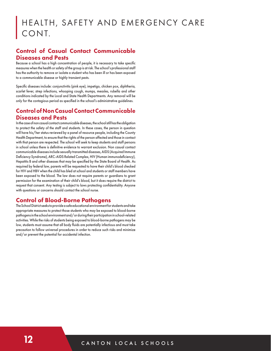## Control of Casual Contact Communicable Diseases and Pests

Because a school has a high concentration of people, it is necessary to take specific measures when the health or safety of the group is at risk. The school's professional staff has the authority to remove or isolate a student who has been ill or has been exposed to a communicable disease or highly transient pests.

Specific diseases include: conjunctivitis (pink eye), impetigo, chicken pox, diphtheria, scarlet fever, strep infections, whooping cough, mumps, measles, rubella and other conditions indicated by the Local and State Health Departments. Any removal will be only for the contagious period as specified in the school's administrative guidelines.

## Control of Non Casual Contact Communicable Diseases and Pests

In the case of non casual contact communicable diseases, the school still has the obligation to protect the safety of the staff and students. In these cases, the person in question will have his/her status reviewed by a panel of resource people, including the County Health Department, to ensure that the rights of the person affected and those in contact with that person are respected. The school will seek to keep students and staff persons in school unless there is definitive evidence to warrant exclusion. Non casual contact communicable diseases include sexually transmitted diseases, AIDS (Acquired Immune Deficiency Syndrome), ARC-AIDS Related Complex, HIV (Human immunodeficiency), Hepatitis B and other diseases that may be specified by the State Board of Health. As required by federal law, parents will be requested to have their child's blood checked for HIV and HBV when the child has bled at school and students or staff members have been exposed to the blood. The law does not require parents or guardians to grant permission for the examination of their child's blood, but it does require the district to request that consent. Any testing is subject to laws protecting confidentiality. Anyone with questions or concerns should contact the school nurse.

## Control of Blood-Borne Pathogens

The School District seeks to provide a safe educational environment for students and take appropriate measures to protect those students who may be exposed to blood-borne pathogens in the school environment and/or during their participation in school-related activities. While the risks of students being exposed to blood-borne pathogens may be low, students must assume that all body fluids are potentially infectious and must take precaution to follow universal procedures in order to reduce such risks and minimize and/or prevent the potential for accidental infection.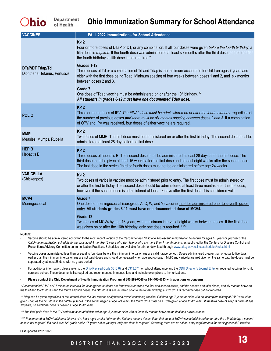| <b>VACCINES</b>                                   | <b>FALL 2022 Immunizations for School Attendance</b>                                                                                                                                                                                                                                                                                                  |
|---------------------------------------------------|-------------------------------------------------------------------------------------------------------------------------------------------------------------------------------------------------------------------------------------------------------------------------------------------------------------------------------------------------------|
|                                                   | $K-12$<br>Four or more doses of DTaP or DT, or any combination. If all four doses were given before the fourth birthday, a<br>fifth dose is required. If the fourth dose was administered at least six months after the third dose, and on or after<br>the fourth birthday, a fifth dose is not required.*                                            |
| DTaP/DT Tdap/Td<br>Diphtheria, Tetanus, Pertussis | Grades 1-12<br>Three doses of Td or a combination of Td and Tdap is the minimum acceptable for children ages 7 years and<br>older with the first dose being Tdap. Minimum spacing of four weeks between doses 1 and 2, and six months<br>between doses 2 and 3.                                                                                       |
|                                                   | Grade 7<br>One dose of Tdap vaccine must be administered on or after the 10 <sup>th</sup> birthday. **<br>All students in grades 8-12 must have one documented Tdap dose.                                                                                                                                                                             |
| <b>POLIO</b>                                      | $K-12$<br>Three or more doses of IPV. The FINAL dose must be administered on or after the fourth birthday, regardless of<br>the number of previous doses and there must be six months spacing between doses 2 and 3. If a combination<br>of OPV and IPV was received, four doses of either vaccine are required.                                      |
| <b>MMR</b><br>Measles, Mumps, Rubella             | $K-12$<br>Two doses of MMR. The first dose must be administered on or after the first birthday. The second dose must be<br>administered at least 28 days after the first dose.                                                                                                                                                                        |
| <b>HEP B</b><br><b>Hepatitis B</b>                | $K-12$<br>Three doses of hepatitis B. The second dose must be administered at least 28 days after the first dose. The<br>third dose must be given at least 16 weeks after the first dose and at least eight weeks after the second dose.<br>The last dose in the series (third or fourth dose) must not be administered before age 24 weeks.          |
| <b>VARICELLA</b><br>(Chickenpox)                  | $K-12$<br>Two doses of varicella vaccine must be administered prior to entry. The first dose must be administered on<br>or after the first birthday. The second dose should be administered at least three months after the first dose;<br>however, if the second dose is administered at least 28 days after the first dose, it is considered valid. |
| MCV4<br>Meningococcal                             | Grade 7<br>One dose of meningococcal (serogroup A, C, W, and Y) vaccine must be administered prior to seventh grade<br>entry. All students grades 8-11 must have one documented dose of MCV4.                                                                                                                                                         |
|                                                   | Grade 12<br>Two doses of MCV4 by age 16 years, with a minimum interval of eight weeks between doses. If the first dose<br>was given on or after the 16th birthday, only one dose is required. ****                                                                                                                                                    |

#### **NOTES:**

*•* Vaccine should be administered according to the most recent version of the *Recommended Child and Adolescent Immunization Schedule for ages 18 years or younger* or the Catch-up immunization schedule for persons aged 4 months-18 years who start late or who are more than 1 month behind, as published by the Centers for Disease Control and Prevention's Advisory Committee on Immunization Practices. Schedules are available for print or download through www.cdc.gov/vaccines/schedules/index.html.

Vaccine doses administered less than or equal to four days before the minimum interval or age are valid (grace period). Doses administered greater than or equal to five days earlier than the minimum interval or age are not valid doses and should be repeated when age appropriate. If MMR and varicella are not given on the same day, the doses must be separated by at least 28 days with no grace period.

For additional information, please refer to the Ohio Revised Code 3313.67 and 3313.671 for school attendance and the ODH Director's Journal Entry on required vaccines for child care and school. These documents list required and recommended immunizations and indicate exemptions to immunizations.

• **Please contact the Ohio Department of Health Immunization Program at 800-282-0546 or 614-466-4643 with questions or concerns.**

*\* Recommended DTaP or DT minimum intervals for kindergarten students are four weeks between the first and second doses, and the second and third doses; and six months between the third and fourth doses and the fourth and fifth doses. If a fifth dose is administered prior to the fourth birthday, a sixth dose is recommended but not required.*

*\*\* Tdap can be given regardless of the interval since the last tetanus or diphtheria-toxoid containing vaccine. Children age 7 years or older with an incomplete history of DTaP should be*  given Tdap as the first dose in the catch-up series. If the series began at age 7-9 years, the fourth dose must be a Tdap given at age 11-12 years. If the third dose of Tdap is given at age *10 years, no additional dose is needed at age 11-12 years.*

*\*\*\* The final polio dose in the IPV series must be administered at age 4 years or older with at least six months between the final and previous dose.*

*\*\*\*\* Recommended MCV4 minimum interval of at least eight weeks between the first and second doses. If the first dose of MCV4 was administered on or after the 16th birthday, a second dose is not required. If a pupil is in 12th grade and is 15 years old or younger, only one dose is required. Currently, there are no school entry requirements for meningococcal B vaccine.*

Last updated 12/01/2021.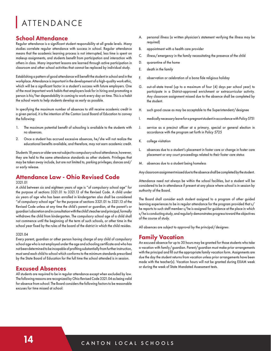# ATTENDANCE

#### School Attendance

Regular attendance is a significant student responsibility at all grade levels. Many studies correlate regular attendance with success in school. Regular attendance means that the academic learning process is not interrupted, less time is spent on makeup assignments, and students benefit from participation and interaction with others in class. Many important lessons are learned through active participation in classroom and other school activities that cannot be replaced by individual study.

Establishing a pattern of good attendance will benefit the student in school and in the workplace. Attendance is important in the development of a high-quality work ethic, which will be a significant factor in a student's success with future employers. One of the most important work habits that employers look for in hiring and promoting a person is his/her dependability in coming to work every day on time. This is a habit the school wants to help students develop as early as possible.

In specifying the maximum number of absences to still receive academic credit in a given period, it is the intention of the Canton Local Board of Education to convey the following:

- 1. The maximum potential benefit of schooling is available to the students with no absences.
- 2. Once a student has accrued excessive absences, he/she will not realize the educational benefits available, and therefore, may not earn academic credit.

Students 18 years or older are not subject to compulsory school attendance, however, they are held to the same attendance standards as other students. Privileges that may be taken away include, but are not limited to, parking privileges, dances and/ or early release.

## Attendance Law - Ohio Revised Code

#### 3321.01

A child between six and eighteen years of age is "of compulsory school age" for the purpose of sections 3321.01 to 3321.13 of the Revised Code. A child under six years of age who has been enrolled in kindergarten also shall be considered "of compulsory school age" for the purpose of sections 3321.01 to 3321.13 of the Revised Code unless at any time the child's parent or guardian, at the parent's or guardian's discretion and in consultation with the child's teacher and principal, formally withdraws the child from kindergarten. The compulsory school age of a child shall not commence until the beginning of the term of such schools, or other time in the school year fixed by the rules of the board of the district in which the child resides.

#### 3321.04

Every parent, guardian or other person having charge of any child of compulsory school age who is not employed under the age and schooling certificate and who has not been determined to be incapable of profiting substantially from further instruction, must send each child to school which conforms to the minimum standards prescribed by the State Board of Education for the full time the school attended is in session.

#### Excused Absences

All students are required to be in regular attendance except when excluded by law. The following reasons are recognized by Ohio Revised Code 3321.04 as being valid for absence from school: The Board considers the following factors to be reasonable excuses for time missed at school:

- A. personal illness (a written physician's statement verifying the illness may be required)
- B. appointment with a health care provider
- C. illness/emergency in the family necessitating the presence of the child
- D. quarantine of the home
- E. death in the family
- F. observation or celebration of a bona fide religious holiday
- G. out-of-state travel (up to a maximum of four (4) days per school year) to participate in a District-approved enrichment or extracurricular activity. Any classroom assignment missed due to the absence shall be completed by the student.
- H. such good cause as may be acceptable to the Superintendent/designee
- I. medically necessary leave for a pregnant student in accordance with Policy 5751
- J. service as a precinct officer at a primary, special or general election in accordance with the program set forth in Policy 5725
- K. college visitation
- L. absences due to a student's placement in foster care or change in foster care placement or any court proceedings related to their foster care status
- M. absences due to a student being homeless

Any classroom assignment missed due to the absence shall be completed by the student.

Attendance need not always be within the school facilities, but a student will be considered to be in attendance if present at any place where school is in session by authority of the Board.

The Board shall consider each student assigned to a program of other guided learning experiences to be in regular attendance for the program provided that s/ he reports to such staff member s/he is assigned for guidance at the place in which s/he is conducting study, and regularly demonstrates progress toward the objectives of the course of study.

All absences are subject to approval by the principal/designee.

#### Family Vacation

An excused absence for up to 30 hours may be granted for those students who take a vacation with family/guardian. Parent/guardian must make prior arrangements with the principal and fill out the appropriate family vacation form. Assignments are due the day the student returns from vacation unless prior arrangements have been made with the teacher(s). Vacation hours will not be granted during EXAM week or during the week of State Mandated Assessment tests.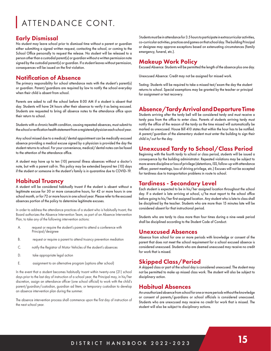# ATTENDANCE CONT.

#### Early Dismissal

No student may leave school prior to dismissal time without a parent or guardian either submitting a signed written request, contacting the school, or coming to the School Office personally to request the release. No student will be released to a person other than a custodial parent(s) or guardian without a written permission note signed by the custodial parent(s) or guardian. If a student leaves without permission, consequences will be issued on the first violation.

## Notification of Absence

The primary responsibility for school attendance rests with the student's parent(s) or guardian. Parent/guardians are required by law to notify the school everyday when their child is absent from school.

Parents are asked to call the school before 8:00 AM if a student is absent that day. Students will have 24 hours after their absence to verify it as being excused. Students are requested to bring all absence notes to the attendance office upon their return to school.

Students with a chronic health condition, causing repeated absences, must submit to the school a verification health statement from a registered physician each school year.

Any school missed due to a medical/dental appointment can be medically excused absence providing a medical excuse signed by a physician is provided the day the student returns to school. For your convenience, medical/dental notes can be faxed to the attention of the attendance office.

A student may have up to ten (10) personal illness absences without a doctor's note, but with a parent call-in. This policy may be extended beyond ten (10) days if the student or someone in the student's family is in quarantine due to COVID-19.

#### Habitual Truancy

A student will be considered habitually truant if the student is absent without a legitimate excuse for 30 or more consecutive hours, for 42 or more hours in one school month, or for 72 or more hours in one school year. Please refer to the excused absences portion of the policy to determine legitimate excuses.

In order to address the attendance practices of a student who is habitually truant, the Board authorizes the Absence Intervention Team, as part of an Absence Intervention Plan, to take any of the following intervention actions:

- A. request or require the student's parent to attend a conference with Principal/designee
- B. request or require a parent to attend truancy prevention mediation
- C. notify the Registrar of Motor Vehicles of the student's absences
- D. take appropriate legal action
- E. assignment to an alternative program (options after school)

In the event that a student becomes habitually truant within twenty-one (21) school days prior to the last day of instruction of a school year, the Principal may, in his/her discretion, assign an attendance officer (one school official) to work with the child's parent/guardian/custodian, guardian ad litem, or temporary custodian to develop an absence intervention plan during the summer.

The absence intervention process shall commence upon the first day of instruction of the next school year.

Students must be in attendance for 3.5 hours to participate in extracurricular activities, co-curricular activities, practices and games on that school day. The building Principal or designee may approve exceptions based on extenuating circumstances (family emergency, funeral, etc.).

## Makeup Work Policy

Excused Absence: Students will be permitted the length of the absence plus one day.

Unexcused Absence: Credit may not be assigned for missed work.

Testing: Students will be required to take a missed test/exam the day the student returns to school. Special exemptions may be granted by the teacher or principal for assignment or test recovery.

# Absence/Tardy Arrival and Departure Time

Students arriving after the tardy bell will be considered tardy and must receive a tardy pass from the office to enter class. Parents of students arriving tardy must notify the office of the reason of the tardy as the time missed will automatically be marked as unexcused. House Bill 410 states that within the hour has to be notified. A parent/guardian of the elementary student must enter the building to sign their child in/out for the day.

## Unexcused Tardy to School/Class Period

Beginning with the fourth tardy to school or class period, students will be issued a consequence by the building administrator. Repeated violations may be subject to more severe discipline or loss of privilege (detentions, ISS, follow-up with attendance officer, parent meetings, loss of driving privilege, etc.) Excuses will not be accepted for tardiness due to transportation problems in route to school.

## Tardiness - Secondary Level

Each student is expected to be in his/her assigned location throughout the school day. If a student is late arriving at school, s/he must report to the school office before going to his/her first assigned location. Any student who is late to class shall be disciplined by the teacher. Students who are more than 15 minutes late will be considered absent for that instructional period.

Students who are tardy to class more than four times during a nine-week period shall be disciplined according to the Student Code of Conduct.

#### Unexcused Absences

Absence from school for one or more periods with knowledge or consent of the parent that does not meet the school requirement for a school excused absence is considered unexcused. Students who are deemed unexcused may receive no credit for work that is missed.

#### Skipped Class/Period

A skipped class or part of the school day is considered unexcused. The student may not be permitted to make up missed class work. The student will also be subject to disciplinary action.

#### Habitual Absences

An unauthorized absence from school for one or more periods without the knowledge or consent of parents/guardians or school officials is considered unexcused. Students who are unexcused may receive no credit for work that is missed. The student will also be subject to disciplinary actions.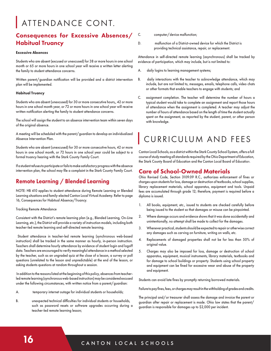# ATTENDANCE CONT.

# Consequences for Excessive Absences/ Habitual Truancy

#### **Excessive Absences**

Students who are absent (excused or unexcused) for 38 or more hours in one school month or 65 or more hours in one school year will receive a written letter alerting the family to student attendance concerns.

Written parent/guardian notification will be provided and a district intervention plan will be implemented.

#### **Habitual Truancy**

Students who are absent (unexcused) for 30 or more consecutive hours,, 42 or more hours in one school month year, or 72 or more hours in one school year will receive written notification alerting the family to student attendance concerns.

The school will assign the student to an absence intervention team within seven days of the original absence.

A meeting will be scheduled with the parent/guardian to develop an individualized Absence Intervention Plan.

Students who are absent (unexcused) for 30 or more consecutive hours, 42 or more hours in one school month, or 72 hours in one school year could be subject to a formal truancy hearing with the Stark County Family Court.

If a student refuses to participate or fails to make satisfactory progress with the absence intervention plan, the school may file a complaint in the Stark County Family Court.

## Remote Learning / Blended Learning

NOTE: HB 410 applies to student attendance during Remote Learning or Blended Learning situations and family-elected Canton Local Virtual Academy. Refer to page 16, Consequences for Habitual Absence/Truancy.

#### Tracking Remote Attendance

Consistent with the District's remote learning plan (e.g., Blended Learning, On-Line Learning, etc.), the District will provide a variety of instruction models, including both teacher-led remote learning and self-directed remote learning.

 Student attendance in teacher-led remote learning (synchronous web-based instruction) shall be tracked in the same manner as hourly, in-person instruction. Teachers shall determine hourly attendance by evidence of student login and logoff data. Teachers are encouraged to verify meaningful attendance in a method selected by the teacher, such as an ungraded quiz at the close of a lesson, a survey or poll questions (unrelated to the lesson and unpredictable) at the end of the lesson, or asking students questions at random throughout a session.

 In addition to the reasons listed at the beginning of this policy, absences from teacherled remote learning (synchronous web-based instruction) may be considered excused under the following circumstances, with written notice from a parent/guardian:

- A. temporary internet outage for individual students or households;
- B. unexpected technical difficulties for individual students or households, such as password resets or software upgrades occurring during a teacher-led remote learning lesson;

C. computer/device malfunction;

D. malfunction of a District-owned device for which the District is providing technical assistance, repair, or replacement.

Attendance in self-directed remote learning (asynchronous) shall be tracked by evidence of participation, which may include, but is not limited to:

- A. daily logins to learning management systems;
- B. daily interactions with the teacher to acknowledge attendance, which may include, but are not limited to, messages, emails, telephone calls, video chats or other formats that enable teachers to engage with students; and
- C. assignment completion. The teacher will determine the number of hours a typical student would take to complete an assignment and report those hours of attendance when the assignment is completed. A teacher may adjust the number of hours of attendance based on the length of time the student actually spent on the assignment, as reported by the student, parent, or other person with knowledge.

# CURRICULUM AND FEES

Canton Local Schools, as a district within the Stark County School System, offers a full course of study meeting all standards required by the Ohio Department of Education, the Stark County Board of Education and the Canton Local Board of Education.

## Care of School-Owned Materials

Ohio Revised Code, Section 3109.09 R.C., authorizes enforcement of fines or charges upon students for loss, damage or destruction of textbooks, school supplies, library replacement materials, school apparatus, equipment and tools. Unpaid fees are accumulated through grade 12; therefore, payment is required before a diploma is issued.

- 1. All books, equipment, etc., issued to students are checked carefully before being issued to the student so that damages or misuse can be pinpointed.
- 2. Where damage occurs and evidence shows that it was done accidentally and unintentionally, no attempt shall be made to collect for the damages.
- 3. Whenever practical, students should be expected to repair or otherwise correct any damages such as carving on furniture, writing on walls, etc.
- 4. Replacements of damaged properties shall not be for less than 50% of original value.
- 5. Charges may also be imposed for loss, damage or destruction of school apparatus, equipment, musical instruments, library materials, textbooks and for damage to school buildings or property. Students using school property and equipment can be fined for excessive wear and abuse of the property and equipment.

Students can avoid late fines by promptly returning borrowed materials.

Failure to pay fines, fees, or charges may result in the withholding of grades and credits.

The principal and/or treasurer shall assess the damage and invoice the parent or guardian after repair or replacement is made. Ohio law states that the parent/ guardian is responsible for damages up to \$2,000 per incident.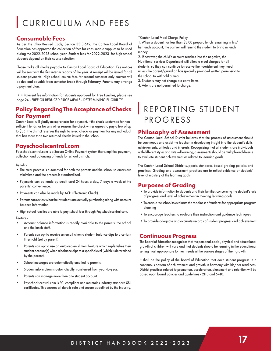# CURRICULUM AND FEES

#### Consumable Fees

As per the Ohio Revised Code, Section 3313.642, the Canton Local Board of Education has approved the collection of fees for consumable supplies to be used during the 2022-2023 school year. Student fees for 2022-2023 for high school students depend on their course selection.

Please make all checks payable to Canton Local Board of Education. Fee notices will be sent with the first interim reports of the year. A receipt will be issued for all student payments. High school course fees for second semester only courses will be due and payable from semester break through February. Parents may arrange a payment plan.

••Payment fee information for students approved for Free Lunches, please see page 24 - FREE OR REDUCED PRICE MEALS - DETERMINING ELIGIBILITY.

#### Policy Regarding The Acceptance of Checks for Payment

Canton Local will gladly accept checks for payment. If the check is returned for nonsufficient funds, or for any other reason, the check writer agrees to pay a few of up to \$35. The district reserves the right to reject checks as payment for any individual that has more than two returned checks issued to the school.

## Payschoolscentral.com

Payschoolscentral.com is a Secure Online Payment system that simplifies payment, collection and balancing of funds for school districts.

#### Benefits

- The meal process is automated for both the parents and the school so errors are minimized and the process is standardized.
- Payments can be made by credit card 24 hours a day, 7 days a week at the parents' convenience.
- Payments can also be made by ACH (Electronic Check).
- Parents can review what their students are actually purchasing along with account balance information.
- High school families are able to pay school fees through Payschoolscentral.com.

#### Features

- Account balance information is readily available to the parents, the school and the lunch staff.
- Parents can opt to receive an email when a student balance dips to a certain threshold (set by parent).
- Parents can opt to use an auto-replenishment feature which replenishes their student account(s) when a balance dips to a specific level (which is determined by the parent).
- School messages are automatically emailed to parents.
- Student information is automatically transferred from year-to-year.
- Parents can manage more than one student account.
- Payschoolscentral.com is PCI compliant and maintains industry standard SSL certificates. This ensures all data is safe and secure as defined by the industry.

#### \*Canton Local Meal Charge Policy

1. When a student has less than \$3.00 prepaid lunch remaining in his/ her lunch account, the cashier will remind the student to bring in lunch money.

2. If however, the child's account reaches into the negative, the Nutritional services Department will allow a meal charges for all students, so they can continue to receive the nourishment they need, unless the parent/guardian has specially provided written permission to the school to withhold a meal.

- 3. Students may not charge ala carte items.
- 4. Adults are not permitted to charge.

# REPORTING STUDENT PROGRESS

#### Philosophy of Assessment

The Canton Local School District believes that the process of assessment should be continuous and assist the teacher in developing insight into the student's skills, achievements, attitudes and interests. Recognizing that all students are individuals with different styles and rates of learning, assessments should be multiple and diverse to evaluate student achievement as related to learning goals.

The Canton Local School District supports standards-based grading policies and practices. Grading and assessment practices are to reflect evidence of students' level of mastery of the learning goals.

#### Purposes of Grading

- •To provide information to students and their families concerning the student's rate of progress and level of achievement in meeting learning goals
- •To enable the school to evaluate the readiness of students for appropriate program planning
- •To encourage teachers to evaluate their instruction and guidance techniques
- •To provide adequate and accurate records of student progress and achievement

#### Continuous Progress

The Board of Education recognizes that the personal, social, physical and educational growth of children will vary and that students should be learning in the educational setting most appropriate to their needs at the various stages of their growth.

It shall be the policy of the Board of Education that each student progress in a continuous pattern of achievement and growth in harmony with his/her readiness. District practices related to promotion, acceleration, placement and retention will be based upon board policies and guidelines - 2110 and 5410.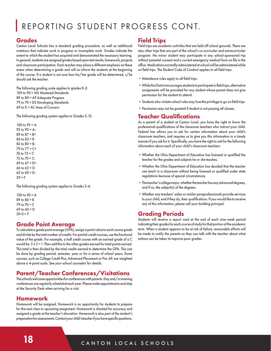# REPORTING STUDENT PROGRESS CONT.

## Grades

Canton Local Schools has a standard grading procedure, as well as additional notations that indicate work in progress or incomplete work. Grades indicate the extent to which the student has acquired and demonstrated the necessary learning. In general, students are assigned grades based upon test results, homework, projects and classroom participation. Each teacher may place a different emphasis on these areas when determining a grade and will so inform the students at the beginning of the course. If a student is not sure how his/her grade will be determined, s/he should ask the teacher.

The following grading scale applies to grades K-2: 100 to 90 = MS Mastered Standards 89 to 80 = AP Adequate Progress 79 to 70 = DS Developing Standards 69 to 0 = AC Area of Concern

The following grading system applies to Grades 5-12:

100 to 93 = A 92 to  $90 = A -$ 89 to  $87 = B +$ 86 to 83 = B 82 to  $80 = B -$ 79 to 77 = C+ 76 to 73 = C 72 to 70 = C-69 to 67 = D+ 66 to 63 = D 62 to  $60 = D 59 = F$ 

The following grading system applies to Grades 3-4:

100 to  $90 = A$ 89 to 80 = B 79 to 70 = C 69 to  $60 = D$  $59-0 = F$ 

## Grade Point Average

To calculate a grade point average (GPA), assign a point value to each course grade and divide by the total number of credits. For partial-credit courses, use the fractional value of the grade. For example, a half credit course with an earned grade of a C would be  $.5 \times 2 = 1$ . Then add this to the other grades earned for total points earned. This total is then divided by the total credits earned to determine the GPA. This can be done by grading period, semester, year or for a series of school years. Some courses, such as College Credit Plus, Advanced Placement or Pre-AP, are weighted above a 4-point scale. See your school counselor for details.

# Parent/Teacher Conferences/Visitations

The schools welcome opportunities for conferences with parents. Day and/or evening conferences are regularly scheduled each year. Please make appointments and stop at the Security Desk when arriving for a visit.

## Homework

Homework will be assigned. Homework is an opportunity for students to prepare for the next class or upcoming assignment. Homework is checked for accuracy and assigned a grade at the teacher's discretion. Homework is also part of the student's preparation for assessments. Contact your child's teacher if you have specific questions.

# Field Trips

Field trips are academic activities that are held off school grounds. There are also other trips that are part of the school's co-curricular and extracurricular program. No minor student may participate in any school-sponsored trip without parental consent and a current emergency medical form on file in the office. Medications normally administered at school will be administered while on field trips. The Student Code of Conduct applies to all field trips.

- •Attendance rules apply to all field trips.
- •While the District encourages students to participate in field trips, alternative assignments will be provided for any student whose parent does not give permission for the student to attend.
- •Students who violate school rules may lose the privilege to go on field trips.
- •Permission may not be granted if student is not passing all classes.

## Teacher Qualifications

As a parent of a student at Canton Local, you have the right to know the professional qualifications of the classroom teachers who instruct your child. Federal law allows you to ask for certain information about your child's classroom teachers, and requires us to give you this information in a timely manner if you ask for it. Specifically, you have the right to ask for the following information about each of your child's classroom teachers:

- •Whether the Ohio Department of Education has licensed or qualified the teacher for the grades and subjects he or she teaches.
- •Whether the Ohio Department of Education has decided that the teacher can teach in a classroom without being licensed or qualified under state regulations because of special circumstances.
- •The teacher's college major; whether the teacher has any advanced degrees, and if so, the subject(s) of the degrees.
- •Whether any teachers' aides or similar paraprofessionals provide services to your child, and if they do, their qualifications. If you would like to receive any of this information, please call your building principal.

# Grading Periods

Students will receive a report card at the end of each nine-week period indicating their grades for each course of study for that portion of the academic term. When a student appears to be at risk of failure, reasonable efforts will be made to notify the parents so they can talk with the teacher about what actions can be taken to improve poor grades.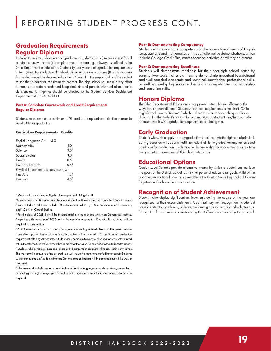## Graduation Requirements Regular Diploma

In order to receive a diploma and graduate, a student must (a) receive credit for all required coursework and (b) complete one of the learning pathways as defined by the Ohio Department of Education. Students typically complete graduation requirements in four years. For students with individualized education programs (IEPs), the criteria for graduation will be determined by the IEP team. It is the responsibility of the student to see that graduation requirements are met. The high school will make every effort to keep up-to-date records and keep students and parents informed of academic deficiencies. All inquiries should be directed to the Student Services (Guidance) Department at 330-484-8000.

#### **Part A: Complete Coursework and Credit Requirements Regular Diploma**

Students must complete a minimum of 21 credits of required and elective courses to be eligible for graduation.

#### **Curriculum Requirements Credits**

| English Language Arts<br>-4.0                     |                  |
|---------------------------------------------------|------------------|
| <b>Mathematics</b>                                | 40 <sup>1</sup>  |
| Science                                           | 3.0 <sup>2</sup> |
| Social Studies                                    | 3.0 <sup>3</sup> |
| Health                                            | 0.5              |
| Financial Literacy                                | 0.5 <sup>4</sup> |
| Physical Education (2 semesters) 0.5 <sup>5</sup> |                  |
| Fine Arts                                         | 1.0 <sup>6</sup> |
| Electives                                         | 15.              |

#### <sup>1</sup> Math credits must include Algebra II or equivalent of Algebra II.

<sup>2</sup> Science credits must include 1 unit physical science, 1 unit life science, and 1 unit of advanced science. 3 Social Studies credits must include 1.0 unit of American History, 1.0 unit of American Government, and 1.0 unit of Global Studies.

4 For the class of 2021, this will be incorporated into the required American Government course. Beginning with the class of 2022, either Money Management or Financial Foundations will be required for graduation.

5 Participation in interscholastic sports, band, or cheerleading for two full seasons is required in order to receive a physical education waiver. This waiver will not award a PE credit but will waive the requirement of taking 2 PE courses. Students must complete two physical education waiver forms and return them to the Student Services office in order for the waiver to be added to the students transcript. 6 Students who complete/pass one full credit of a career tech program will receive a fine art waiver. This waiver will not award a fine art credit but will waive the requirement of a fine art credit. Students wishing to pursue an Academic Honors Diploma must still earn a full fine art credit even if the waiver is earned.

7 Electives must include one or a combination of foreign language, fine arts, business, career tech, technology, or English language arts, mathematics, science, or social studies courses not otherwise required.

#### **Part B: Demonstrating Competency**

Students will demonstrate competency in the foundational areas of English language arts and mathematics or through alternative demonstrations, which include College Credit Plus, career-focused activities or military enlistment.

#### **Part C: Demonstrating Readiness**

Students will demonstrate readiness for their post-high school paths by earning two seals that allow them to demonstrate important foundational and well-rounded academic and technical knowledge, professional skills, as well as develop key social and emotional competencies and leadership and reasoning skills.

#### Honors Diploma

The Ohio Department of Education has approved criteria for six different pathways to an honors diploma. Students must meet requirements in the chart, "Ohio High School Honors Diploma," which outlines the criteria for each type of honors diploma. It is the student's responsibility to maintain contact with his/her counselor to ensure that his/her graduation requirements are being met.

#### Early Graduation

Students who wish to apply for early graduation should apply to the high school principal. Early graduation will be permitted if the student fulfills the graduation requirements and conditions for graduation. Students who choose early graduation may participate in the graduation ceremonies of their designated class.

#### Educational Options

Canton Local Schools provide alternative means by which a student can achieve the goals of the District, as well as his/her personal educational goals. A list of the approved educational options is available in the Canton South High School Course Registration Guide on the district website.

#### Recognition of Student Achievement

Students who display significant achievements during the course of the year are recognized for their accomplishments. Areas that may merit recognition include, but are not limited to, academics, athletics, performing arts, citizenship and volunteerism. Recognition for such activities is initiated by the staff and coordinated by the principal.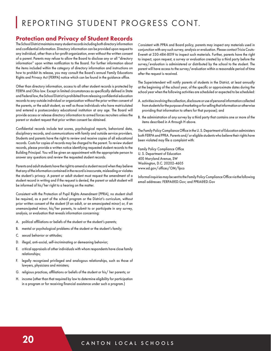# REPORTING STUDENT PROGRESS CONT.

#### Protection and Privacy of Student Records

The School District maintains many student records including both directory information and confidential information. Directory information can be provided upon request to any individual, other than a for-profit organization, even without the written consent of a parent. Parents may refuse to allow the Board to disclose any or all "directory information" upon written notification to the Board. For further information about the items included within the category of directory information and instructions on how to prohibit its release, you may consult the Board's annual Family Educations Rights and Privacy Act (FERPA) notice which can be found in the guidance office.

Other than directory information, access to all other student records is protected by FERPA and Ohio law. Except in limited circumstances as specifically defined in State and Federal law, the School District is prohibited from releasing confidential education records to any outside individual or organization without the prior written consent of the parents, or the adult student, as well as those individuals who have matriculated and entered a postsecondary educational institution at any age. The Board will provide access or release directory information to armed forces recruiters unless the parent or student request that prior written consent be obtained.

Confidential records include test scores, psychological reports, behavioral data, disciplinary records, and communications with family and outside service providers. Students and parents have the right to review and receive copies of all educational records. Costs for copies of records may be charged to the parent. To review student records, please provide a written notice identifying requested student records to the Building Principal. You will be given an appointment with the appropriate person to answer any questions and review the requested student records.

Parents and adult students have the right to amend a student record when they believe that any of the information contained in the record is inaccurate, misleading or violates the student's privacy. A parent or adult student must request the amendment of a student record in writing and if the request is denied, the parent or adult student will be informed of his/her right to a hearing on the matter.

Consistent with the Protection of Pupil Rights Amendment (PPRA), no student shall be required, as a part of the school program or the District's curriculum, without prior written consent of the student (if an adult, or an emancipated minor) or, if an unemancipated minor, his/her parents, to submit to or participate in any survey, analysis, or evaluation that reveals information concerning:

- A. political affiliations or beliefs of the student or the student's parents;
- B. mental or psychological problems of the student or the student's family;
- C. sexual behavior or attitudes;
- D. illegal, anti-social, self-incriminating or demeaning behavior;
- E. critical appraisals of other individuals with whom respondents have close family relationships;
- F. legally recognized privileged and analogous relationships, such as those of lawyers, physicians and ministers;
- G. religious practices, affiliations or beliefs of the student or his/ her parents; or
- H. income (other than that required by law to determine eligibility for participation in a program or for receiving financial assistance under such a program.)

Consistent with PPRA and Board policy, parents may inspect any materials used in conjunction with any such survey, analysis or evaluation. Please contact Tricia Couts-Everett at 330-484-8019 to inspect such materials. Further, parents have the right to inspect, upon request, a survey or evaluation created by a third party before the survey/evaluation is administered or distributed by the school to the student. The parent will have access to the survey/evaluation within a reasonable period of time after the request is received.

The Superintendent will notify parents of students in the District, at least annually at the beginning of the school year, of the specific or approximate dates during the school year when the following activities are scheduled or expected to be scheduled:

- A. activities involving the collection, disclosure or use of personal information collected from students for the purpose of marketing or for selling that information or otherwise providing that information to others for that purpose); and
- B. the administration of any survey by a third party that contains one or more of the items described in A through H above.

The Family Policy Compliance Office in the U. S. Department of Education administers both FERPA and PPRA. Parents and/or eligible students who believe their rights have been violated may file a complaint with:

Family Policy Compliance Office U. S. Department of Education 400 Maryland Avenue, SW Washington, D.C. 20202-4605 www.ed.gov/offices/OM/fpco

Informal inquiries may be sent to the Family Policy Compliance Office via the following email addresses: FERPA@ED.Gov; and PPRA@ED.Gov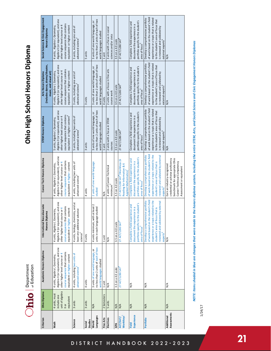

# Ohio High School Honors Diploma **Ohio High 
School 
Honors 
Diploma**

| Criterion                   | Ohio Diploma                                                                    | Academic Honors Diploma                                                                                                                                                 | International Baccalaureate<br>Γã<br>Honors Diplom                                                                                                                                                                    | Career Tech Honors Diploma                                                                                                                                                                             | <b>STEM Honors Diploma</b>                                                                                                                                                                                                 | (Includes dance, drama/theatre,<br>Arts Honors Diploma<br>music, and visual art)                                                                                                                                           | Social Science & Civic Engagement<br>Honors Diploma                                                                                                                                                                        |
|-----------------------------|---------------------------------------------------------------------------------|-------------------------------------------------------------------------------------------------------------------------------------------------------------------------|-----------------------------------------------------------------------------------------------------------------------------------------------------------------------------------------------------------------------|--------------------------------------------------------------------------------------------------------------------------------------------------------------------------------------------------------|----------------------------------------------------------------------------------------------------------------------------------------------------------------------------------------------------------------------------|----------------------------------------------------------------------------------------------------------------------------------------------------------------------------------------------------------------------------|----------------------------------------------------------------------------------------------------------------------------------------------------------------------------------------------------------------------------|
| Math                        | unit of algebra<br>4 units, must<br>include one<br>equivalent<br>$\frac{5}{10}$ | Algebra II (or equivalent), and one<br>course sequence that contains<br>other higher level course or 4<br>equivalent or higher content<br>4 units, Algebra I, Geometry, | ), and one<br>course sequence that contains<br>other higher level course or 4<br>equivalent or higher content<br>4 units, Algebra I, Geometry,<br>Algebra II (or equivalent)                                          | Algebra II (or equivalent), and one<br>course sequence that contains<br>other higher level course or 4<br>equivalent or higher content<br>4 units, Algebra I, Geometry,                                | Algebra II (or equivalent), and one<br>course sequence that contains<br>equivalent or higher content <sup>4</sup><br>other higher level course or 4<br>5 units, Algebra I, Geometry,                                       | Algebra II (or equivalent), and one<br>course sequence that contains<br>other higher level course or 4<br>equivalent or higher content<br>4 units, Algebra I, Geometry,                                                    | Algebra II (or equivalent), and one<br>course sequence that contains<br>other higher level course or 4<br>4 units, Algebra I, Geometry,<br>equivalent or higher content                                                    |
| Science<br>Social           | 3 units<br>3 units                                                              | 4 units, including two units of<br>advanced science <sup>2</sup><br>4 units                                                                                             | 4 units, biology, chemistry, and at<br>least one additional advance<br>science <sup>2</sup><br>4 units                                                                                                                | 4 units, including two units of<br>advanced science <sup>2</sup><br>4 units                                                                                                                            | 5 units, including two units of<br>advanced science <sup>2</sup><br>$3$ units                                                                                                                                              | 3 units, including one unit of<br>advanced science <sup>2</sup><br>3 units                                                                                                                                                 | 3 units, including one unit of<br>advanced science <sup>2</sup><br>5 units                                                                                                                                                 |
| Studies                     |                                                                                 |                                                                                                                                                                         |                                                                                                                                                                                                                       |                                                                                                                                                                                                        |                                                                                                                                                                                                                            |                                                                                                                                                                                                                            |                                                                                                                                                                                                                            |
| Languages<br>World          | $\frac{4}{2}$                                                                   | no less than 2 units of each of two<br>3 units of one world language, or<br>world languages studied                                                                     | 4 units minimum, with at least 2<br>units in each language studied                                                                                                                                                    | 2 units of one world language<br>studied                                                                                                                                                               | no less than 2 units of each of two<br>3 units of one world language, or<br>world languages studied                                                                                                                        | no less than 2 units of each of two<br>3 units of one world language, or<br>world languages studied                                                                                                                        | no less than 2 units of each of two<br>3 units of one world language, or<br>world languages studied                                                                                                                        |
| Fine Arts                   | 2 Semesters                                                                     | $1$ unit                                                                                                                                                                | 1 unit                                                                                                                                                                                                                | $\frac{4}{2}$                                                                                                                                                                                          | $1$ unit                                                                                                                                                                                                                   | 4 units                                                                                                                                                                                                                    | $1$ unit                                                                                                                                                                                                                   |
| Electives                   | 5 units                                                                         | ≸                                                                                                                                                                       | ∕∖<br>≥                                                                                                                                                                                                               | 4 units of Career-Technical<br>minimum <sup>3</sup>                                                                                                                                                    | 2 units with a focus in STEM<br>courses                                                                                                                                                                                    | 2 units with a focus in fine arts<br>course work                                                                                                                                                                           | 3 units with a focus in social<br>sciences and/or civics                                                                                                                                                                   |
| GPA                         | N/A                                                                             | 3.5 on a 4.0 scale                                                                                                                                                      | 3.5 on a 4.0 scale                                                                                                                                                                                                    | 3.5 on 4.0 scale                                                                                                                                                                                       | 3.5 on a 4.0 scale                                                                                                                                                                                                         | 3.5 on a 4.0 scale                                                                                                                                                                                                         | 3.5 on a 4.0 scale                                                                                                                                                                                                         |
| <b>WorkKeys</b><br>ACT/SAT/ | N/A                                                                             | 27 ACT/1280 SAT                                                                                                                                                         | 27 ACT/1280 SAT                                                                                                                                                                                                       | 27 ACT/1280 SAT <sup>8</sup> /WorkKeys (6<br>Reading for Information & 6<br>Applied Mathematics) <sup>7</sup>                                                                                          | 27 ACT/1280 SAT                                                                                                                                                                                                            | 27 ACT/1280 SAT                                                                                                                                                                                                            | 27 ACT/1280 SAT                                                                                                                                                                                                            |
| Experience<br>Field         | $\frac{4}{\sqrt{2}}$                                                            | $\frac{4}{2}$                                                                                                                                                           | portfolio specific to the student's<br>Complete a field experience and<br>document the experience in a<br>area of focus <sup>5</sup>                                                                                  | portfolio specific to the student's<br>Complete a field experience and<br>document the experience in a<br>area of focus <sup>5</sup>                                                                   | portfolio specific to the student's<br>Complete a field experience and<br>document the experience in a<br>area of focus <sup>5</sup>                                                                                       | portfolio specific to the student's<br>Complete a field experience and<br>document the experience in a<br>area of focus <sup>5</sup>                                                                                       | portfolio specific to the student's<br>Complete a field experience and<br>document the experience in a<br>area of focus <sup>5</sup>                                                                                       |
| Portfolio                   | $\frac{4}{\sqrt{2}}$                                                            | $\frac{4}{2}$                                                                                                                                                           | of work based on the student's field<br>Develop a comprehensive portfolio<br>experience or a topic related to the<br>by external<br>student's area of focus that is<br>reviewed and validated<br>experts <sup>6</sup> | of work based on the student's field<br>Develop a comprehensive portfolio<br>experience or a topic related to the<br>reviewed and validated by external<br>student's area of focus that is<br>experts' | of work based on the student's field<br>experience or a topic that is related<br>Develop a comprehensive portfolio<br>to the student's area of focus that<br>is reviewed and validated by<br>external experts <sup>e</sup> | of work based on the student's field<br>experience or a topic that is related<br>Develop a comprehensive portfolio<br>to the student's area of focus that<br>is reviewed and validated by<br>external experts <sup>6</sup> | of work based on the student's field<br>experience or a topic that is related<br>Develop a comprehensive portfolio<br>to the student's area of focus that<br>is reviewed and validated by<br>external experts <sup>6</sup> |
| Assessments<br>Additional   | $\frac{4}{2}$                                                                   | $\frac{4}{2}$                                                                                                                                                           | $\frac{4}{2}$                                                                                                                                                                                                         | credential or achieve proficiency<br>benchmark for appropriate Ohio<br>Career-Technical Competency<br>Earn an industry-recognized<br>Assessment or equivalent                                          | $\frac{4}{2}$                                                                                                                                                                                                              | $\frac{4}{2}$                                                                                                                                                                                                              | $\frac{4}{2}$                                                                                                                                                                                                              |

NOTE: Items shaded in blue are changes that were made to the honors diploma system, including the entire STEM, Arts, and Social Science and Civic Engagement Honors Diplomas NOTE: Items shaded in blue are changes that were made to the honors diploma system, including the entire STEM, Arts, and Social Science and Civic Engagement Honors Diplomas

1/24/17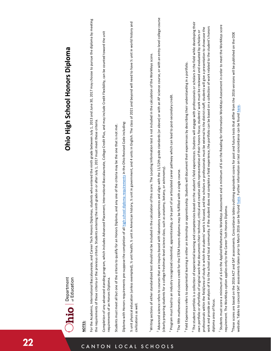|               | Ohio High School Honors Diploma<br>$\bigcirc$ <b>hio</b> $\bigcirc$ $\bigcirc$ $\bigcirc$ $\bigcirc$ $\bigcirc$ $\bigcirc$ $\bigcirc$ $\bigcirc$ $\bigcirc$ $\bigcirc$ $\bigcirc$ atucation                                                                                                                                                                                                                                                                                                                                                                                                                                                                                                                                                                                                                                                                                                                   |  |
|---------------|---------------------------------------------------------------------------------------------------------------------------------------------------------------------------------------------------------------------------------------------------------------------------------------------------------------------------------------------------------------------------------------------------------------------------------------------------------------------------------------------------------------------------------------------------------------------------------------------------------------------------------------------------------------------------------------------------------------------------------------------------------------------------------------------------------------------------------------------------------------------------------------------------------------|--|
| CANTO         | For the Academic, International Baccalaureate, and Career Tech Honors Diplomas, students who entered the ninth grade between July 1, 2013 and June 30, 2017 may choose to pursue the diploma by meeting<br>the requirements of these criteria or the previous criteria. Students entering the ninth grade on or after July 1, 2017 must meet these criteria.<br><b>NOTES:</b>                                                                                                                                                                                                                                                                                                                                                                                                                                                                                                                                 |  |
| $\mathsf{N}$  | ement, International Baccalaureate, College Credit Plus, and may include Credit Flexibility, can be counted toward the unit<br>Completion of any advanced standing program, which includes Advanced Plac<br>requirements of an Honors Diploma.                                                                                                                                                                                                                                                                                                                                                                                                                                                                                                                                                                                                                                                                |  |
|               | Students must meet all but one of the criteria to qualify for an Honors Diploma, and any one of the criteria may be the one that is not met.                                                                                                                                                                                                                                                                                                                                                                                                                                                                                                                                                                                                                                                                                                                                                                  |  |
|               | hool diploma requirements in the Ohio Revised Code including:<br>Diploma with Honors requirements pre-suppose the completion of all high scl                                                                                                                                                                                                                                                                                                                                                                                                                                                                                                                                                                                                                                                                                                                                                                  |  |
|               | % unit physical education (unless exempted), % unit health, % unit in American history, % unit in government, and 4 units in English. The class of 2021 and beyond will need to have % unit in world history and<br>civilizations as well                                                                                                                                                                                                                                                                                                                                                                                                                                                                                                                                                                                                                                                                     |  |
|               |                                                                                                                                                                                                                                                                                                                                                                                                                                                                                                                                                                                                                                                                                                                                                                                                                                                                                                               |  |
|               | <sup>1</sup> Writing sections of either standardized test should not be included in the calculation of this score. The Locating Information test is not included in the calculation of the WorkKeys score.                                                                                                                                                                                                                                                                                                                                                                                                                                                                                                                                                                                                                                                                                                    |  |
| LOCAL SCHOOLS | <sup>2</sup> Advanced science refers to courses that are inquiry-based with laboratory experiences and align with the 11/12th grade standards (or above) or with an AP science course, or with an entry-level college course<br>anatomy, botany, or astronomy).<br>(clearly preparing students for a college freshman-level science class, such as                                                                                                                                                                                                                                                                                                                                                                                                                                                                                                                                                            |  |
|               | be part of an articulated career pathway which can lead to post-secondary credit.<br>Program must lead to an industry recognized credential, apprenticeship, or l                                                                                                                                                                                                                                                                                                                                                                                                                                                                                                                                                                                                                                                                                                                                             |  |
|               | be fulfilled with a single course.<br><sup>4</sup> The fifth mathematics and science credit for the STEM honors diploma may                                                                                                                                                                                                                                                                                                                                                                                                                                                                                                                                                                                                                                                                                                                                                                                   |  |
|               | <sup>5</sup> Field Experience refers to experiential learning in either an internship or apprenticeship. Students will document their experiences by describing their understanding in a portfolio.                                                                                                                                                                                                                                                                                                                                                                                                                                                                                                                                                                                                                                                                                                           |  |
|               | <sup>6</sup> The student portfolio is a collection of experiential learning and competencies based on the student's field experiences. Students will engage with professionals or scholars in the field while developing their<br>work and provide an analysis of it to the school and local community. If the student does not complete a field experience, the portfolio can be based on a collection of work related to the student's honors<br>professionals within the field/area of study in which the students' work is focused, and the scholars or professionals must be external to the district staff; students will give a presentation to showcase the<br>own portfolio or ePortfolio of original work that documents their technical, critical and creative skills representative of their honors focus; students' work must be reviewed and evaluated by scholars or<br>diploma area of focus. |  |
|               | 7 Students must score a minimum of a 6 on the Applied Mathematics WorkKeys Assessment and a minimum of 6 on the Reading for Information WorkKeys Assessment in order to meet the WorkKeys score<br>ploma<br>requirement. The WorkKeys option applies only to the Career Tech Honors Di                                                                                                                                                                                                                                                                                                                                                                                                                                                                                                                                                                                                                        |  |
|               | tables outlining equivalent scores for past and future tests that differ from the 2016 versions will be published on the ODE<br>can bo found bor<br>いちしゃ えん<br>waite and a proper concerned a process of the second and the March 2016 can be a proper interestion of the concern<br><sup>8</sup> These scores are based on the 2016 ACT and SAT assessments. Concordance                                                                                                                                                                                                                                                                                                                                                                                                                                                                                                                                     |  |

# Ohio High School Honors Diploma **Ohio High 
School 
Honors 
Diploma**

website. Tables to concord SAT assessments taken prior to March 2016 can be found here. Further information on test concordance can be found here. website. Tables to concord SAT assessments taken prior to March 2016 can be found here. Further information on test concordance can be found here.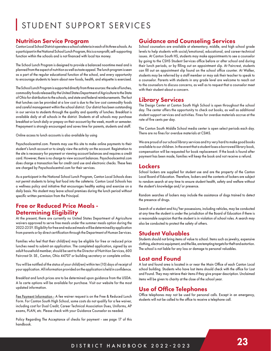# STUDENT SUPPORT SERVICES

## Nutrition Service Program

Canton Local School District operates a school cafeteria in each of its three schools. As a participant in the National School Lunch Program, this is a nonprofit, self-supporting function within the schools and is not financed with local tax money.

The School Lunch Program is designed to provide a balanced noontime meal and is planned from the aspect of nutrition as well as taste appeal. The lunch program is seen as a part of the regular educational function of the school, and every opportunity to encourage students to learn about new foods, health, and etiquette is exercised.

The School Lunch Program is supported directly from three sources: the sale of lunches, commodity foods released by the United States Department of Agriculture to the State of Ohio for distribution to the schools, and state and federal reimbursements. The fact that lunches can be provided at a low cost is due to the low cost commodity foods and careful management within the school district. Our district has been outstanding in our service to students through the quality and quantity of lunches. Breakfast is available daily at all schools in the district. Students at all schools may purchase breakfast or lunch daily or prepay on their account by the week, month or semester. Prepayment is strongly encouraged and saves time for parents, students and staff.

Online access to lunch accounts is also available by using

Payschoolscentral.com. Parents may use this site to make online payments to their student's lunch account or to simply view the activity on the account. Registration to the site is necessary for payment or viewing account balances and requires a credit card. However, there is no charge to view account balances. Payschoolscentral.com does charge a transaction fee for credit card use and electronic checks. These fees are charged by Payschoolscentral.com for their services.

As a participant in the National School Lunch Program, Canton Local Schools does not permit students to bring fast food into the cafeteria. Canton Local Schools has a wellness policy and initiative that encourages healthy eating and exercise on a daily basis. No student may leave school premises during the lunch period without specific written permission from the Principal.

## Free or Reduced Price Meals - Determining Eligibility

At the present, there are currently no United States Department of Agriculture waivers approved to serve free meals under the summer meals option during the 2022-23 SY. Eligibility for free and reduced meals will be determined by application from parents or by direct certification through the Department of Human Services.

Families who feel that their child(ren) may be eligible for free or reduced price lunches need to submit an application. The completed application, signed by an adult household member, should be sent to the Director of Nutrition Services, 600 Faircrest St. SE., Canton, Ohio 44707 or building secretary or complete online.

You will be notified of the status of your child(ren) within ten (10) days of receipt of your application. All information provided on the application is held in confidence.

Breakfast and lunch prices are to be determined upon guidance from the USDA. A la carte options will be available for purchase. Visit our website for the most updated information.

Fee Payment Information - A fee waiver request is on the Free & Reduced Lunch Form. For Canton South High School, some costs do not qualify for a fee waiver, including cost for Dual Credit, Career Technical Association Dues, Uniforms, AP exams, PLAN, etc. Please check with your Guidance Counselor as needed.

Policy Regarding The Acceptance of checks for payment - see page 17 of this handbook.

# Guidance and Counseling Services

School counselors are available at elementary, middle, and high school grade levels to help students with social/emotional, educational, and career-technical issues. At Canton South HS, students may make appointments to see a counselor by going to the CSHS Student Services office before or after school and during their lunch periods, or by filling out an appointment slip. At Faircrest, students can fill out an appointment slip found on the school office counter. At Walker, students may be referred by a staff member or may ask their teacher to speak to a counselor. Parents with students in any grade level are welcome to reach out to the counselors to discuss concerns, as well as to request that a counselor meet with their student about a concern.

## Library Services

The Design Center at Canton South High School is open throughout the school day. The center offers the opportunity to check out books, as well as additional student support services and activities. Fines for overdue materials accrue at the rate of five cents per day.

The Canton South Middle School media center is open select periods each day. There are no fines for overdue materials at CSMS.

We are proud of our school library services and try very hard to make good books available to our children. In the event that a student loses a borrowed library book, compensation will be requested for book replacement. If the book is found after payment has been made, families will keep the book and not receive a refund.

#### Lockers

School lockers are supplied for student use and are the property of the Canton Local Board of Education. Therefore, lockers and the contents of lockers are subject to random search at any time to ensure student health, safety and welfare without the student's knowledge and/or presence.

Random searches of lockers may include the assistance of dogs trained to detect the presence of drugs.

Search of a student and his/her possessions, including vehicles, may be conducted at any time the student is under the jurisdiction of the Board of Education if there is a reasonable suspicion that the student is in violation of school rules. A search may also be conducted to protect the safety of others.

#### Student Valuables

Students should not bring items of value to school. Items such as jewelry, expensive clothing, electronic equipment, and the like, are tempting targets for theft and extortion. The school is not liable for any loss or damage to personal valuables.

#### Lost and Found

A lost and found area is located in or near the Main Office of each Canton Local school building. Students who have lost items should check with the office for Lost and Found. They may retrieve their items if they give proper description. Unclaimed items will be given to charity at the close of the school year.

## Use of Office Telephones

Office telephones may not be used for personal calls. Except in an emergency, students will not be called to the office to receive a telephone call.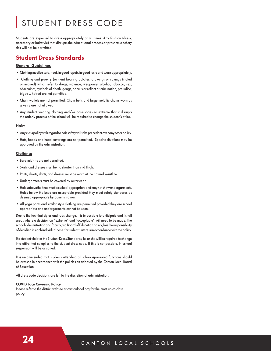# STUDENT DRESS CODE

Students are expected to dress appropriately at all times. Any fashion (dress, accessory or hairstyle) that disrupts the educational process or presents a safety risk will not be permitted.

# Student Dress Standards

#### General Guidelines

- •Clothing must be safe, neat, in good repair, in good taste and worn appropriately.
- Clothing and jewelry (or skin) bearing patches, drawings or sayings (stated or implied) which refer to drugs, violence, weaponry, alcohol, tobacco, sex, obscenities, symbols of death, gangs, or cults or reflect discrimination, prejudice, bigotry, hatred are not permitted.
- •Chain wallets are not permitted. Chain belts and large metallic chains worn as jewelry are not allowed.
- •Any student wearing clothing and/or accessories so extreme that it disrupts the orderly process of the school will be required to change the student's attire.

#### Hair:

- •Any class policy with regard to hair safety will take precedent over any other policy.
- •Hats, hoods and head coverings are not permitted. Specific situations may be approved by the administration.

#### Clothing:

- •Bare midriffs are not permitted.
- •Skirts and dresses must be no shorter than mid thigh.
- •Pants, shorts, skirts, and dresses must be worn at the natural waistline.
- •Undergarments must be covered by outerwear.
- •Holes above the knee must be school appropriate and may not show undergarments. Holes below the knee are acceptable provided they meet safety standards as deemed appropriate by administration.
- •All yoga pants and similar style clothing are permitted provided they are school appropriate and undergarments cannot be seen.

Due to the fact that styles and fads change, it is impossible to anticipate and list all areas where a decision on "extreme" and "acceptable" will need to be made. The school administration and faculty, via Board of Education policy, has the responsibility of deciding in each individual case if a student's attire is in accordance with the policy.

If a student violates the Student Dress Standards, he or she will be required to change into attire that complies to the student dress code. If this is not possible, in-school suspension will be assigned.

It is recommended that students attending all school-sponsored functions should be dressed in accordance with the policies as adopted by the Canton Local Board of Education.

All dress code decisions are left to the discretion of administration.

#### COVID Face Covering Policy

Please refer to the district website at cantonlocal.org for the most up-to-date policy.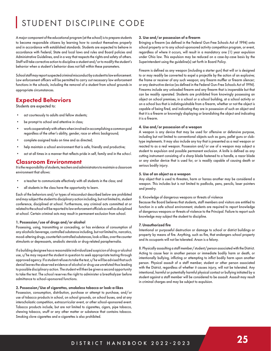# STUDENT DISCIPLINE CODE

A major component of the educational program (at the school) is to prepare students to become responsible citizens by learning how to conduct themselves properly and in accordance with established standards. Students are expected to behave in accordance with Federal, State and local laws and rules and Board policies and Administrative Guidelines, and in a way that respects the rights and safety of others. Staff will take corrective action to discipline a student and/or to modify the student's behavior when a student's behavior does not fall within these parameters.

School staff may report suspected criminal misconduct by a student to law enforcement. Law enforcement officers will be permitted to carry out necessary law enforcement functions in the schools, including the removal of a student from school grounds in appropriate circumstances.

## Expected Behaviors

Students are expected to:

- act courteously to adults and fellow students;
- be prompt to school and attentive in class;
- work cooperatively with others when involved in accomplishing a common goal regardless of the other's ability, gender, race or ethnic background;
- complete assigned tasks on time and as directed;
- help maintain a school environment that is safe, friendly and productive;
- act at all times in a manner that reflects pride in self, family and in the school.

#### Classroom Environment

It is the responsibility of students, teachers and administrators to maintain a classroom environment that allows:

- a teacher to communicate effectively with all students in the class; and
- all students in the class have the opportunity to learn.

Each of the behaviors and/or types of misconduct described below are prohibited and may subject the student to disciplinary action including, but not limited to, student conference, disciplined at school. Furthermore, any criminal acts committed at or related to the school will be reported to law enforcement officials as well as disciplined at school. Certain criminal acts may result in permanent exclusion from school.

#### 1. Possession/use of drugs and/or alcohol

Possessing, using, transmitting or concealing, or has evidence of consumption of any alcoholic beverage, controlled substance including, but not limited to, narcotics, mood-altering drugs, counterfeit controlled substances, look-a likes, over the counter stimulants or depressants, anabolic steroids or drug-related paraphernalia.

If a building designee has a reasonable individualized suspicion of drug or alcohol use, s/he may request the student in question to seek appropriate testing through approved agency. If a student refuses to take the test, s/he will be advised that such denial leaves the observed evidence of alcohol or drug use unrefuted thus leading to possible disciplinary action. The student will then be given a second opportunity to take the test. The school reserves the right to administer a breathalyzer before admittance to school-sponsored functions.

#### 2. Possession/Use of cigarettes, smokeless tobacco or look-a-likes

Possession, consumption, distribution, purchase or attempt to purchase, and/or use of tobacco products in school, on school grounds, on school buses, and at any interscholastic competition, extracurricular event, or other school-sponsored event. Tobacco products include, but are not limited to cigarettes, cigars, pipe tobacco, chewing tobacco, snuff or any other matter or substance that contains tobacco. Smoking clove cigarettes and e-cigarettes is also prohibited.

#### 3. Use and/or possession of a firearm

Bringing a firearm (as defined in the Federal Gun-Free Schools Act of 1994) onto school property or to any school-sponsored activity competition program, or event, regardless of where it occurs, will result in a mandatory one (1) year expulsion under Ohio law. This expulsion may be reduced on a case-by-case basis by the Superintendent using the guideline(s) set forth in Board Policy.

Firearm is defined as any weapon (including a starter gun) that will or is designed to or may readily be converted to expel a projectile by the action of an explosive; the frame or receiver of any such weapon; any firearm muffler or firearm silencer; or any destructive device (as defined in the Federal Gun-Free Schools Act of 1994). Firearms include any unloaded firearm and any firearm that is inoperable but that can be readily operated. Students are prohibited from knowingly possessing an object on school premises, in a school or a school building, at a school activity or on a school bus that is indistinguishable from a firearm, whether or not the object is capable of being fired, and indicating they are in possession of such an object and that it is a firearm or knowingly displaying or brandishing the object and indicating it is a firearm.

#### 4. Use and/or possession of a weapon

A weapon is any device that may be used for offensive or defensive purpose, including but not limited to conventional objects such as guns, pellet guns or clubtype implements. It may also include any toy that is presented as a real weapon or reacted to as a real weapon. Possession and/or use of a weapon may subject a student to expulsion and possible permanent exclusion. A knife is defined as any cutting instrument consisting of a sharp blade fastened to a handle, a razor blade or any similar device that is used for, or is readily capable of causing death or serious bodily injury.

#### 5. Use of an object as a weapon

Any object that is used to threaten, harm or harass another may be considered a weapon. This includes but is not limited to padlocks, pens, pencils, laser pointers and jewelry.

#### 6. Knowledge of dangerous weapons or threats of violence

Because the Board believes that students, staff members and visitors are entitled to function in a safe school environment, students are required to report knowledge of dangerous weapons or threats of violence to the Principal. Failure to report such knowledge may subject the student to discipline.

#### 7. Unauthorized fire

Intentional or purposeful destruction or damage to school or district buildings or property by means of fire. Anything, such as fire, that endangers school property and its occupants will not be tolerated. Arson is a felony.

8. Physically assaulting a staff member/student/person associated with the District. Acting to cause fear in another person or immediate bodily harm or death, or intentionally bullying, inflicting or attempting to inflict bodily harm upon another person. Physical assault of a staff member, student or other person associated with the District, regardless of whether it causes injury, will not be tolerated. Any intentional, harmful or potentially harmful physical contact or bullying initiated by a student against a staff member will be considered to be assault. Assault may result in criminal charges and may be subject to expulsion.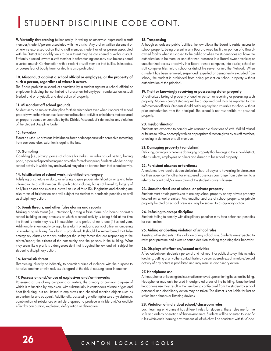# STUDENT DISCIPLINE CODE CONT.

9. Verbally threatening (either orally, in writing or otherwise expressed) a staff member/student/person associated with the district. Any oral or written statement or otherwise expressed action that a staff member, student or other person associated with the District reasonably feels to be a threat may be considered a verbal assault. Profanity directed toward a staff member in a threatening tone may also be considered a verbal assault. Confrontation with a student or staff member that bullies, intimidates, or causes fear of bodily harm or death is also prohibited.

#### 10. Misconduct against a school official or employee, or the property of such a person, regardless of where it occurs.

The Board prohibits misconduct committed by a student against a school official or employee, including, but not limited to harassment (of any type), vandalization, assault (verbal and or physical), and destruction of property.

#### 11. Misconduct off school grounds

Students may be subject to discipline for their misconduct even when it occurs off school property when the misconduct is connected to school activities or incidents that occurred on property owned or controlled by the District. Misconduct is defined as any violation of the Student Discipline Code.

#### 12. Extortion

Extortion is the use of threat, intimidation, force or deception to take or receive something from someone else. Extortion is against the law.

#### 13. Gambling

Gambling (i.e., playing games of chance for stakes) includes casual betting, betting pools, organized-sports betting and any other form of wagering. Students who bet on any school activity in which they are involved may also be banned from that school activity.

#### 14. Falsification of school work, identification, forgery

Falsifying a signature or data, or refusing to give proper identification or giving false information to a staff member. This prohibition includes, but is not limited to, forgery of hall/bus passes and excuses, as well as use of false IDs. Plagiarism and cheating are also forms of falsification and will subject the student to academic penalties as well as disciplinary action.

#### 15. Bomb threats, and other false alarms and reports

Making a bomb threat (i.e., intentionally giving a false alarm of a bomb) against a school building or any premises at which a school activity is being held at the time the threat is made may result in expulsion for a period of up to one (1) school year. Additionally, intentionally giving a false alarm or inducing panic of a fire, or tampering or interfering with any fire alarm is prohibited. It should be remembered that false emergency alarms or reports endanger the safety forces that are responding to the alarm/report, the citizens of the community and the persons in the building. What may seem like a prank is a dangerous stunt that is against the law and will subject the student to disciplinary action.

#### 16. Terroristic threat

Threatening, directly or indirectly, to commit a crime of violence with the purpose to terrorize another or with reckless disregard of the risk of causing terror in another.

#### 17. Possession and/or use of explosives and/or fireworks

Possessing or use of any compound or mixture, the primary or common purpose of which is to function by explosion, with substantially instantaneous release of gas and heat (including, but not limited to explosives and chemical reaction objects such as smoke bombs and poppers). Additionally, possessing or offering for sale any substance, combination of substances or article prepared to produce a visible and/or audible effect by combustion, explosion, deflagration or detonation.

#### 18. Trespassing

Although schools are public facilities, the law allows the Board to restrict access to school property. Being present in any Board-owned facility or portion of a Boardowned facility when it is closed to the public or when the student does not have the authorization to be there, or unauthorized presence in a Board-owned vehicle; or unauthorized access or activity in a Board-owned computer, into district, school or staff computer files, into a school or district file server, or into the Network. When a student has been removed, suspended, expelled or permanently excluded from school, the student is prohibited from being present on school property without authorization of the principal.

#### 19. Theft or knowingly receiving or possessing stolen property

Unauthorized taking of property of another person or receiving or possessing such property. Students caught stealing will be disciplined and may be reported to law enforcement officials. Students should not bring anything valuable to school without prior authorization from the principal. The school is not responsible for personal property.

#### 20. Insubordination

Students are expected to comply with reasonable directions of staff. Willful refusal or failure to follow or comply with an appropriate direction given by a staff member, or acting in defiance of staff members.

#### 21. Damaging property (vandalism)

Defacing, cutting or otherwise damaging property that belongs to the school district, other students, employees or others and disregard for school property.

#### 22. Persistent absence or tardiness

Attendance laws require students to be in school all day or to have a legitimate excuse for their absence. Penalties for unexcused absences can range from detention to a referral to court and/or revocation of the student's driver's license.

#### 23. Unauthorized use of school or private property

Students must obtain permission to use any school property or any private property located on school premises. Any unauthorized use of school property, or private property located on school premises, may be subject to disciplinary action.

#### 24. Refusing to accept discipline

Students failing to comply with disciplinary penalties may face enhanced penalties for such action.

#### 25. Aiding or abetting violation of school rules

Assisting other students in the violation of any school rule. Students are expected to resist peer pressure and exercise sound decision-making regarding their behavior.

#### 26. Displays of affection/sexual activities

Affection between students is personal and not meant for public display. This includes touching, petting or any other contact that may be considered sexual in nature. Sexual activity of any nature is prohibited and may result in disciplinary action.

#### 27. Headphone use

All headphones or listening devices must be removed upon entering the school building. Headphones may only be used in designated areas of the building. Unauthorized headphone use may result in the item being confiscated from the student by school personnel and disciplinary action may be taken. The district is not liable for lost or stolen headphones or listening devices.

#### 28. Violation of individual school/classroom rules

Each learning environment has different rules for students. These rules are for the safe and orderly operation of that environment. Students will be oriented to specific rules within each learning environment, all of which will be consistent with this Code.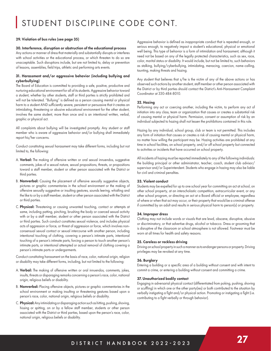# STUDENT DISCIPLINE CODE CONT.

#### 29. Violation of bus rules (see page 35)

#### 30. Interference, disruption or obstruction of the educational process

Any actions or manner of dress that materially and substantially disrupts or interferes with school activities or the educational process, or which threaten to do so are unacceptable. Such disruptions include, but are not limited to, delay or prevention of lessons, assemblies, field trips, athletic and performing arts events.

#### 31. Harassment and/or aggressive behavior (including bullying and cyberbullying)

The Board of Education is committed to providing a safe, positive, productive and nurturing educational environment for all of its students. Aggressive behavior toward a student, whether by other students, staff or third parties is strictly prohibited and will not be tolerated. "Bullying" is defined as a person causing mental or physical harm to a student AND sufficiently severe, persistent or persuasive that it creates an intimidating, threatening or abusive educational environment for the other student, involves the same student, more than once and is an intentional written, verbal, graphic or physical act.

All complaints about bullying will be investigated promptly. Any student or staff member who is aware of aggressive behavior and/or bullying shall immediately report his/her concerns.

Conduct constituting sexual harassment may take different forms, including but not limited to, the following:

- A. Verbal: The making of offensive written or oral sexual innuendos, suggestive comments, jokes of a sexual nature, sexual propositions, threats, or propositions toward a staff member, student or other person associated with the District or third parties.
- B. Nonverbal: Causing the placement of offensive sexually suggestive objects, pictures or graphic commentaries in the school environment or the making of offensive sexually suggestive or insulting gestures, sounds leering, whistling and the like to or by a staff member, student or other person associated with the District or third parties.
- C. Physical: Threatening or causing unwanted touching, contact or attempts at same, including patting, pinching, brushing the body or coerced sexual activity with or by a staff member, student or other person associated with the District or third parties. Such conduct constitutes sexual violence, and includes physical acts of aggression or force, or threat of aggression or force, which involves nonconsensual sexual contact or sexual intercourse with another person, including intentional touching of clothing, covering a person's intimate parts, intentional touching of a person's intimate parts, forcing a person to touch another person's intimate parts, or intentional attempted or actual removal of clothing covering a person's intimate parts or undergarments.

Conduct constituting harassment on the basis of race, color, national origin, religion or disability may take different forms, including, but not limited to the following:

- A. Verbal: The making of offensive written or oral innuendos, comments, jokes, insults, threats or disparaging remarks concerning a person's race, color, national origin, religious beliefs or disability.
- B. Nonverbal: Placing offensive objects, pictures or graphic commentaries in the school environment or making insulting or threatening gestures based upon a person's race, color, national origin, religious beliefs or disability.
- C. Physical: Any intimidating or disparaging action such as hitting, pushing, shoving, hissing or spitting, on or by a fellow staff member, students or other person associated with the District or third parties, based upon the person's race, color, national origin, religious beliefs or disability.

Aggressive behavior is defined as inappropriate conduct that is repeated enough, or serious enough, to negatively impact a student's educational, physical or emotional well being. This type of behavior is a form of intimidation and harassment, although it need not be based on any of the legally protected characteristics, such as sex, race, color, marital status or disability. It would include, but not be limited to, such behaviors as stalking, bullying/cyberbullying, intimidating, menacing, coercion, name-calling, taunting, making threats and hazing.

Any student that believes that s/he is the victim of any of the above actions or has observed such actions by another student, staff member or other person associated with the District or by third parties should contact the District's Anti-Harassment Complaint Coordinator at 330-484-8010.

#### 32. Hazing

Performing any act or coercing another, including the victim, to perform any act of initiation into any class, team or organization that causes or creates a substantial risk of causing mental or physical harm. Permission, consent or assumption of risk by an individual subjected to hazing shall not lessen the prohibitions contained in this rule.

Hazing by any individual, school group, club or team is not permitted. This includes any form of initiation that causes or creates a risk of causing mental or physical harm, no matter how willing the participant may be. Hazing activities are prohibited at any time in school facilities, on school property, and/or off school property but connected to activities or incidents that have occurred on school property.

All incidents of hazing must be reported immediately to any of the following individuals: the building principal or other administrator, teacher, coach, student club advisor/ supervisor and/or Superintendent. Students who engage in hazing may also be liable for civil and criminal penalties.

#### 33. Violent conduct

Students may be expelled for up to one school year for committing an act at school, on other school property, at an interscholastic competition, extracurricular event, or any other school program, or directing an act at a Board official or employee, regardless of where or when that act may occur, or their property that would be a criminal offense if committed by an adult and results in serious physical harm to person(s) or property.

#### 34. Improper dress

Clothing may not include words or visuals that are lewd, obscene, disruptive, abusive or discriminatory, or that advertise drugs, alcohol or tobacco. Dress or grooming that is disruptive of the classroom or school atmosphere is not allowed. Footwear must be worn at all times for health and safety reasons.

#### 35. Careless or reckless driving

Driving on school property in such a manner as to endanger persons or property. Driving privileges may be revoked at any time.

#### 36. Burglary

Entering a building or a specific area of a building without consent and with intent to commit a crime, or entering a building without consent and committing a crime.

#### 37. Unauthorized bodily contact

Engaging in adversarial physical contact (differentiated from poking, pushing, shoving or scuffling) in which one or the other party(ies) or both contributed to the situation by verbally instigating a fight and/or physical action. Promoting or instigating a fight (i.e. contributing to a fight verbally or through behavior).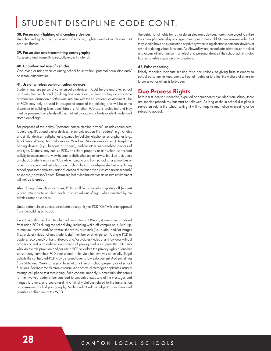# STUDENT DISCIPLINE CODE CONT.

#### 38. Possession/lighting of incendiary devices

Unauthorized igniting or possession of matches, lighters and other devices that produce flames.

#### 39. Possession and transmitting pornography

Possessing and transmitting sexually explicit material.

#### 40. Unauthorized use of vehicles

Occupying or using vehicles during school hours without parental permission and/ or school authorization.

#### 41. Use of wireless communication devices

Students may use personal communication devices (PCDs) before and after school or during their lunch break (building level discretion), as long as they do not create a distraction, disruption or otherwise interfere with the educational environment. Use of PCDs may only be used in designated areas of the building and will be at the discretion of building level administrators. All other PCD use is prohibited and they must be powered completely off (i.e., not just placed into vibrate or silent mode) and stored out of sight.

For purposes of this policy, "personal communication device" includes computers, tablets (e.g., iPads and similar devices), electronic readers ("e-readers"; e.g., Kindles and similar devices), cell phones (e.g., mobile/cellular telephones, smartphones (e.g., BlackBerry, iPhone, Android devices, Windows Mobile devices, etc.), telephone paging devices (e.g., beepers or pagers), and/or other web-enabled devices of any type. Students may not use PCDs on school property or at a school-sponsored activity to access and/or view Internet websites that are otherwise blocked to students at school. Students may use PCDs while riding to and from school on a school bus or other Board-provided vehicles or on a school bus or Board-provided vehicle during school-sponsored activities, at the discretion of the bus driver, classroom teacher and/ or sponsor/advisor/coach. Distracting behavior that creates an unsafe environment will not be tolerated.

Also, during after-school activities, PCDs shall be powered completely off (not just placed into vibrate or silent mode) and stored out of sight when directed by the administrator or sponsor.

Under certain circumstances, a student may keep his/her PCD "On" with prior approval from the building principal.

Except as authorized by a teacher, administrator or IEP team, students are prohibited from using PCDs during the school day, including while off-campus on a field trip, to capture, record and/or transmit the words or sounds (i.e., audio) and/or images (i.e., pictures/video) of any student, staff member or other person. Using a PCD to capture, record and/or transmit audio and/or pictures/video of an individual without proper consent is considered an invasion of privacy and is not permitted. Students who violate this provision and/or use a PCD to violate the privacy rights of another person may have their PCD confiscated. If the violation involves potentially illegal activity the confiscated-PCD may be turned-over to law enforcement. Add something from 5136 and "Sexting" is prohibited at any time on school property or at school functions. Sexting is the electronic transmission of sexual messages or pictures, usually through cell phone text messaging. Such conduct not only is potentially dangerous for the involved students, but can lead to unwanted exposure of the messages and images to others, and could result in criminal violations related to the transmission or possession of child pornography. Such conduct will be subject to discipline and possible confiscation of the WCD.

The district is not liable for lost or stolen electronic devices. Parents are urged to utilize the school phone to relay any urgent messages to their child. Students are reminded that they should have no expectation of privacy when using electronic personal devices at school or during school functions. As allowed by law, school administrators can look at and access all information in an electronic personal device if the school administrator has reasonable suspicion of wrongdoing.

#### 42. False reporting

Falsely reporting incidents, making false accusations, or giving false testimony to school personnel to keep one's self out of trouble or to affect the welfare of others or to cover up for others is forbidden.

## Due Process Rights

Before a student is suspended, expelled or permanently excluded from school, there are specific procedures that must be followed. As long as the in-school discipline is served entirely in the school setting, it will not require any notice or meeting or be subject to appeal.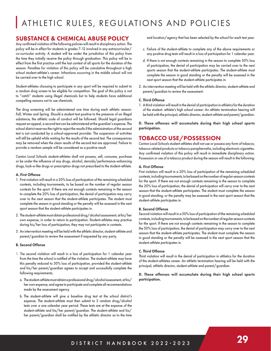# ATHLETIC RULES, REGULATIONS AND POLICIES

## SUBSTANCE & CHEMICAL ABUSE POLICY

Any confirmed violation of the following policies will result in disciplinary action. The policy will be in effect for students in grades 7-12 involved in any extracurricular/ co-curricular activity. A student will be under the jurisdiction of this policy from the time they initially receive the policy through graduation. This policy will be in effect from the first practice until the last contest of all sports for the duration of the season. Penalties for violation of this policy will be cumulative throughout a high school student-athlete's career. Infractions occurring in the middle school will not be carried over to the high school.

Student-athletes choosing to participate in any sport will be required to submit to a random drug screen to be eligible for competition. The goal of this policy is not to "catch" students using illegal chemicals but to help students have additional compelling reasons not to use chemicals.

The drug screening will be administered one time during each athletic season: Fall, Winter and Spring. Should a student test positive to the presence of an illegal substance, the athletic code of conduct will be followed. Should legal guardians request an appeal, a second test can be administered at the guardian's expense. The school district reserves the right to reject the results if the administration of the second test is not conducted by a school-approved provider. The suspension of activities will still be upheld while waiting for the results of the second test. The consequences may be removed when the clean results of the second test are approved. Failure to provide a random sample will be considered as a positive result.

Canton Local Schools student-athletes shall not possess, sell, consume, purchase or be under the influence of any drugs, alcohol, steroids/performance-enhancing drugs, look-a-like drugs or prescription drugs not prescribed to the student-athlete.

#### A. First Offense

- 1. First violation will result in a 20% loss of participation of the remaining scheduled contests, including tournaments, to be based on the number of regular season contests for the sport. If there are not enough contests remaining in the season to complete the 20% loss of participation, the denial of participation may carry over to the next season that the student-athlete participates. The student must complete the season in good standing or the penalty will be assessed in the next sport season that the student-athlete participates in.
- 2. The student-athlete must obtain professional drug/alcohol assessment, at his/her own expense, in order to return to participation. Student-athletes may practice during his/her loss of participation; they may not participate in contests.
- 3. An intervention meeting will be held with the athletic director, student-athlete and parent/guardian to review the assessment if requested by any party.

#### B. Second Offense

- 1. The second violation will result in a loss of participation for 1 calendar year from the time the school is notified of the violation. The student-athlete may have this penalty reduced to 50% loss of participation, provided the student-athlete and his/her parent/guardian agrees to accept and successfully complete the following requirements;
	- a. The student-athlete must obtain a professional drug/alcohol assessment, at his/ her own expense, and agree to participate and complete all recommendations made by the assessment agency.
	- b. The student-athlete will give a baseline drug test at the school district's expense. The student-athlete must then submit to 3 random drug/alcohol tests over a one calendar year period. These tests are at the expense of the student-athlete and his/her parent/guardian. The student-athlete and his/ her parent/guardian shall be notified by the athletic director as to the time

and location/agency that has been selected by the school for each test year.

- c. Failure of the student-athlete to complete any of the above requirements or any positive drug tests will result in a loss of participation for 1 calendar year.
- d. If there is not enough contests remaining in the season to complete 50% loss of participation, the denial of participation may be carried over to the next sports season that the student-athlete participates. The student-athlete must complete the season in good standing or the penalty will be assessed in the next sport season that the student-athlete participates in.
- 2. An intervention meeting will be held with the athletic director, student-athlete and parent/guardian to review the assessment.

#### C. Third Offense

1. A third violation will result in the denial of participation in athletics for the duration of the student- athlete's high school career. An athletic termination hearing will be held with the principal, athletic director, student-athlete and parent/guardian.

D. These offenses will accumulate during their high school sports participation.

## TOBACCO USE/POSSESSION

Canton Local Schools student-athletes shall not use or possess any form of tobacco, tobacco-related products or tobacco paraphernalia, including electronic cigarettes. Any confirmed violation of this policy will result in immediate disciplinary action. Possession or use of a tobacco product during the season will result in the following:

#### A. First Offense

First violation will result in a 20% loss of participation of the remaining scheduled contests, including tournaments, to be based on the number of regular season contests for the sport. If there are not enough contests remaining in the season to complete the 20% loss of participation, the denial of participation will carry over to the next season that the student-athlete participates. The student must complete the season in good standing, or the penalty may be assessed in the next sport season that the student-athlete participates in.

#### B. Second Offense

Second violation will result in a 50% loss of participation of the remaining scheduled contests, including tournaments, to be based on the number of regular season contests for the sport. If there are not enough contests remaining in the season to complete the 50% loss of participation, the denial of participation may carry over to the next season that the student-athlete participates. The student must complete the season in good standing or the penalty will be assessed in the next sport season that the student-athlete participates in.

#### C. Third Offense

Third violation will result in the denial of participation in athletics for the duration of the student-athletes career. An athletic termination hearing will be held with the principal, athletic director, student-athlete and parent/guardian.

#### D. These offenses will accumulate during their high school sports participation.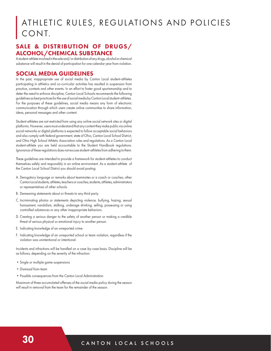# ATHLETIC RULES, REGULATIONS AND POLICIES CONT.

#### SALE & DISTRIBUTION OF DRUGS/ ALCOHOL/CHEMICAL SUBSTANCE

A student-athlete involved in the sale and/or distribution of any drugs, alcohol or chemical substance will result in the denial of participation for one calendar year from violation.

#### SOCIAL MEDIA GUIDELINES

In the past, inappropriate use of social media by Canton Local student-athletes participating in athletics and co-curricular activities has resulted in suspension from practice, contests and other events. In an effort to foster good sportsmanship and to deter the need to enforce discipline, Canton Local Schools recommends the following guidelines as best practices for the use of social media by Canton Local student-athletes. For the purposes of these guidelines, social media means any form of electronic communication through which users create online communities to share information, ideas, personal messages and other content.

Student-athletes are not restricted from using any online social network sites or digital platforms. However, users must understand that any content they make public via online social networks or digital platforms is expected to follow acceptable social behaviors and also comply with federal government, state of Ohio, Canton Local School District, and Ohio High School Athletic Association rules and regulations. As a Canton Local student-athlete you are held accountable to the Student Handbook regulations. Ignorance of these regulations does not excuse student-athletes from adhering to them.

These guidelines are intended to provide a framework for student-athletes to conduct themselves safely and responsibly in an online environment. As a student-athlete of the Canton Local School District you should avoid posting:

- A. Derogatory language or remarks about teammates or a coach or coaches; other Canton Local students, athletes, teachers or coaches; students, athletes, administrators or representatives of other schools.
- B. Demeaning statements about or threats to any third party.
- C. Incriminating photos or statements depicting violence, bullying, hazing, sexual harassment, vandalism, stalking, underage drinking, selling, possessing or using controlled substances or any other inappropriate behaviors.
- D. Creating a serious danger to the safety of another person or making a credible threat of serious physical or emotional injury to another person.
- E. Indicating knowledge of an unreported crime.
- F. Indicating knowledge of an unreported school or team violation, regardless if the violation was unintentional or intentional.

Incidents and infractions will be handled on a case-by-case basis. Discipline will be as follows, depending on the severity of the infraction:

- •Single or multiple game suspensions
- •Dismissal from team
- •Possible consequences from the Canton Local Administration

Maximum of three accumulated offenses of the social media policy during the season will result in removal from the team for the remainder of the season.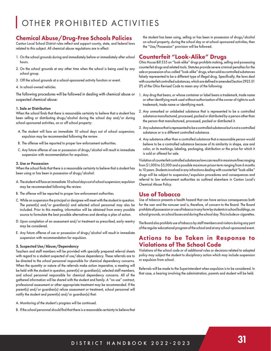# OTHER PROHIBITED ACTIVITIES

## Chemical Abuse/Drug-Free Schools Policies

Canton Local School District rules reflect and support county, state, and federal laws related to this subject. All chemical abuse regulations are in effect:

- 1. On the school grounds during and immediately before or immediately after school hours.
- 2. On the school grounds at any other time when the school is being used by any school group.
- 3. Off the school grounds at a school-sponsored activity function or event.
- 4. In school-owned vehicles.

The following procedures will be followed in dealing with chemical abuse or suspected chemical abuse:

#### 1. Sale or Distribution

When the school finds that there is reasonable certainty to believe that a student has been selling or distributing drugs/alcohol during the school day and/or during school-sponsored activities, on or off school property:

- A. The student will face an immediate 10 school days out of school suspension; expulsion may be recommended following the review.
- B. The offense will be reported to proper law enforcement authorities.
- C. Any future offense of use or possession of drugs/alcohol will result in immediate suspension with recommendation for expulsion.

#### 2. Use or Possession

When the school finds that there is a reasonable certainty to believe that a student has been using or has been in possession of drugs/alcohol:

- A. The student will face an immediate 10 school days out of school suspension; expulsion may be recommended following the review.
- B. The offense will be reported to proper law enforcement authorities.
- C. While on suspension the principal or designee will meet with the student in question. The parent(s) and/or guardian(s) and selected school personnel may also be included. Prior to this meeting, information will be obtained from every possible source to formulate the best possible alternatives and develop a plan of action.
- D. Upon completion of an assessment and/or treatment as prescribed, early reentry may be considered.
- E. Any future offense of use or possession of drugs/alcohol will result in immediate suspension with recommendation for expulsion.

#### 3. Suspected Use/Abuse/Dependency

Teachers and staff members will be provided with specially prepared referral sheets with regard to a student suspected of use/abuse dependency. These referrals are to be directed to the school personnel responsible for chemical dependency concerns. When the quantity or nature of the referrals make action imperative, a meeting will be held with the student in question, parent(s) or guardian(s), selected staff members, and school personnel responsible for chemical dependency concerns. All of the gathered information will be shared with the student and family. A "no use" contract, professional assessment or other appropriate treatment may be recommended. If the parent(s) and/or guardian(s) refuse assessment or treatment, school personnel will notify the student and parent(s) and/or guardian(s) that:

- A. Monitoring of the student's progress will be continued.
- B. If the school personnel should find that there is a reasonable certainty to believe that

the student has been using, selling or has been in possession of drugs/alcohol on school property, during the school day or at school-sponsored activities, then the "Use/Possession" provision will be followed.

## Counterfeit "Look-Alike" Drugs

Ohio House Bill 535 on "look-alike" drugs prohibits making, selling and possessing counterfeit drugs and related tools. Statutes provide severe criminal penalties for the sale or possession of so-called "look-alike" drugs, when sold as controlled substances falsely represented to be a different type of illegal drug. Specifically, the laws deal with counterfeit controlled substances, which are defined in amended Section 2925.01 (P) of the Ohio Revised Code to mean any of the following:

- 1. Any drug that bears, or whose container or label bears a trademark, trade name or other identifying mark used without authorization of the owner of rights to such trademark, trade name or identifying mark.
- 2. Any unmarked or unlabeled substance that is represented to be a controlled substance manufactured, processed, packed or distributed by a person other than the person that manufactured, processed, packed or distributed it.
- 3. Any substance that is represented to be a controlled substance but is not a controlled substance or is a different controlled substance.
- 4. Any substance other than a controlled substance that a reasonable person would believe to be a controlled substance because of its similarity in shape, size and color, or its markings, labeling, packaging, distribution or the price for which it is sold or offered for sale.

Violation of counterfeit controlled substances laws can result in maximum fines ranging from \$1,000 to \$5,000 and a possible maximum prison term ranging from 6 months to 10 years. Students involved in any infractions dealing with counterfeit "look-alike" drugs will be subject to suspension/expulsion procedures and consequences and referral to law enforcement authorities as outlined elsewhere in Canton Local's Chemical Abuse Policy.

#### Use of Tobacco

Use of tobacco presents a health hazard that can have serious consequences both for the user and the nonuser and is, therefore, of concern to the Board. The Board prohibits all possession or use of tobacco in any form by students in school buildings, on school grounds, on school buses and during the school day. This includes e-cigarettes.

The Board also prohibits use of tobacco by staff members and visitors during any part of the regular educational program of the school and at any school-sponsored event.

## Actions to be Taken in Response to Violations of The School Code

Violations of the school code or of additional rules or decisions related to adopted policy may subject the student to disciplinary action which may include suspension or expulsion from school.

Referrals will be made to the Superintendent when expulsion is to be considered. In that case, a hearing involving the administration, parents and student will be held.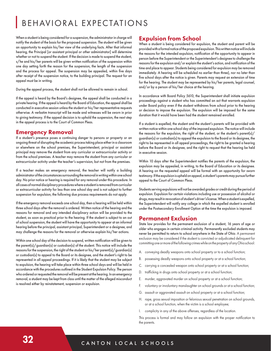# BEHAVIORAL EXPECTATIONS

When a student is being considered for a suspension, the administrator in charge will notify the student of the basis for the proposed suspension. The student will be given an opportunity to explain his/her view of the underlying facts. After that informal hearing, the Principal [or assistant principal or other administrator] will determine whether or not to suspend the student. If the decision is made to suspend the student, s/he and his/her parents will be given written notification of the suspension within one day setting forth the reason for the suspension, the length of the suspension and the process for appeal. The suspension may be appealed, within five days after receipt of the suspension notice, to the building principal. The request for an appeal must be in writing.

During the appeal process, the student shall not be allowed to remain in school.

If the appeal is heard by the Board's designee, the appeal shall be conducted in a private hearing. If the appeal is heard by the Board of Education, the appeal shall be conducted in executive session unless the student or his/her representative requests otherwise. A verbatim transcript will be made and witnesses will be sworn in prior to giving testimony. If the appeal decision is to uphold the suspension, the next step in the appeal process is to the Court of Common Pleas.

#### Emergency Removal

If a student's presence poses a continuing danger to persons or property or an ongoing threat of disrupting the academic process taking place either in a classroom or elsewhere on the school premises, the Superintendent, principal or assistant principal may remove the student from any curricular or extracurricular activity or from the school premises. A teacher may remove the student from any curricular or extracurricular activity under the teacher's supervision, but not from the premises.

If a teacher makes an emergency removal, the teacher will notify a building administrator of the circumstances surrounding the removal in writing within one school day. No prior notice or hearing is required for any removal under this procedure. In all cases of normal disciplinary procedures where a student is removed from curricular or extracurricular activity for less than one school day and is not subject to further suspension for expulsion, the following due process requirements do not apply.

If the emergency removal exceeds one school day, then a hearing will be held within three school days after the removal is ordered. Written notice of the hearing and the reasons for removal and any intended disciplinary action will be provided to the student, as soon as practical prior to the hearing. If the student is subject to an out of school suspension, the student will have the opportunity to appear at an informal hearing before the principal, assistant principal, Superintendent or a designee, and may challenge the reasons for the removal or otherwise explain his/her actions.

Within one school day of the decision to suspend, written notification will be given to the parent(s)/guardian(s) or custodian(s) of the student. This notice will include the reasons for the suspension, the right of the student or his/her parent(s)/guardian(s) or custodian(s) to appeal to the Board or its designee, and the student's right to be represented in all appeal proceedings. If it is likely that the student may be subject to expulsion, the hearing will take place within three school days and will be held in accordance with the procedures outlined in the Student Expulsion Policy. The person who ordered or requested the removal will be present at the hearing. In an emergency removal, a student may be kept from class until the matter of the alleged misconduct is resolved either by reinstatement, suspension or expulsion.

#### Expulsion from School

When a student is being considered for expulsion, the student and parent will be provided with a formal notice of the proposed expulsion. This written notice will include the reasons for the intended expulsion, notification of the opportunity to appear in person before the Superintendent or the Superintendent's designee to challenge the reasons for the expulsion and/or explain the student's action, and notification of the time and place to appear. Students being considered for expulsion may be removed immediately. A hearing will be scheduled no earlier than three), nor no later than five school days after the notice is given. Parents may request an extension of time for the hearing. The student may be represented by his/her parents, legal counsel, and/or by a person of his/her choice at the hearing.

In accordance with Board Policy 5610, the Superintendent shall initiate expulsion proceedings against a student who has committed an act that warrants expulsion under Board policy even if the student withdraws from school prior to the hearing or decision to impose the expulsion. The expulsion will be imposed for the same duration that it would have been had the student remained enrolled.

If a student is expelled, the student and the student's parents will be provided with written notice within one school day of the imposed expulsion. The notice will include the reasons for the expulsion, the right of the student, or the student's parent(s)/ guardian(s) or custodian(s) to appeal the expulsion to the Board or its designee, the right to be represented in all appeal proceedings, the right to be granted a hearing before the Board or its designee, and the right to request that the hearing be held in executive session.

Within 10 days after the Superintendent notifies the parents of the expulsion, the expulsion may be appealed, in writing, to the Board of Education or its designee. A hearing on the requested appeal will be formal with an opportunity for sworn testimony. If the expulsion is upheld on appeal, a student's parents may pursue further appeal to the Court of Common Pleas.

Students serving expulsions will not be awarded grades or credit during the period of expulsion. Expulsion for certain violations including use or possession of alcohol or drugs, may result in revocation of student's driver's license. When a student is expelled, the Superintendent will notify any college in which the expelled student is enrolled under the Postsecondary Enrollment Option at the time the expulsion is imposed.

#### Permanent Exclusion

State law provides for the permanent exclusion of a student, 16 years of age or older who engages in certain criminal activity. Permanently excluded students may never be permitted to return to school anywhere in the State of Ohio. A permanent exclusion may be considered if the student is convicted or adjudicated delinquent for committing one or more of the following crimes while on the property of any Ohio school:

- A. conveying deadly weapons onto school property or to a school function;
- B. possessing deadly weapons onto school property or at a school function;
- C. carrying a concealed weapon onto school property or at a school function;
- D. trafficking in drugs onto school property or at a school function;
- E. murder, aggravated murder on school property or at a school function;
- F. voluntary or involuntary manslaughter on school grounds or at a school function;
- G. assault or aggravated assault on school property or at a school function;
- H. rape, gross sexual imposition or felonious sexual penetration on school grounds, or at a school function, when the victim is a school employee;
- I. complicity in any of the above offenses, regardless of the location.

This process is formal and may follow an expulsion with the proper notification to the parents.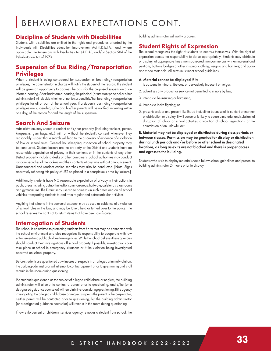# BEHAVIORAL EXPECTATIONS CONT.

## Discipline of Students with Disabilities

Students with disabilities are entitled to the rights and procedures afforded by the Individuals with Disabilities Education Improvement Act (I.D.E.I.A.), and, where applicable, the Americans with Disabilities Act (A.D.A.), and/or Section 504 of the Rehabilitation Act of 1973.

# Suspension of Bus Riding/Transportation Privileges

When a student is being considered for suspension of bus riding/transportation privileges, the administrator in charge will notify the student of the reason. The student will be given an opportunity to address the basis for the proposed suspension at an informal hearing. After that informal hearing, the principal (or assistant principal or other administrator) will decide whether or not to suspend his/her bus riding/transportation privileges for all or part of the school year. If a student's bus riding/transportation privileges are suspended, s/he and his/her parents will be notified, in writing within one day, of the reason for and the length of the suspension.

## Search And Seizure

Administrators may search a student or his/her property (including vehicles, purses, knapsacks, gym bags, etc.) with or without the student's consent, whenever they reasonably suspect that a search will lead to the discovery of evidence of a violation of law or school rules. General housekeeping inspection of school property may be conducted. Student lockers are the property of the District and students have no reasonable expectation of privacy in their contents or in the contents of any other District property including desks or other containers. School authorities may conduct random searches of the lockers and their contents at any time without announcement. Unannounced and random canine searches may also be conducted. [Note: Signs accurately reflecting this policy MUST be placed in a conspicuous area by lockers.]

Additionally, students have NO reasonable expectation of privacy in their actions in public areas including but not limited to, common areas, hallways, cafeterias, classrooms and gymnasiums. The District may use video cameras in such areas and on all school vehicles transporting students to and from regular and extracurricular activities.

Anything that is found in the course of a search may be used as evidence of a violation of school rules or the law, and may be taken, held or turned over to the police. The school reserves the right not to return items that have been confiscated.

## Interrogation of Students

The school is committed to protecting students from harm that may be connected with the school environment and also recognizes its responsibility to cooperate with law enforcement and public child welfare agencies. While the school believes these agencies should conduct their investigations off school property if possible, investigations can take place at school in emergency situations or if the violation being investigated occurred on school property.

Before students are questioned as witnesses or suspects in an alleged criminal violation, the building administrator will attempt to contact a parent prior to questioning and shall remain in the room during questioning.

If a student is questioned as the subject of alleged child abuse or neglect, the building administrator will attempt to contact a parent prior to questioning, and s/he (or a designated guidance counselor) will remain in the room during questioning. If the agency investigating the alleged child abuse or neglect suspects the parent is the perpetrator, neither parent will be contacted prior to questioning, but the building administrator (or a designated guidance counselor) will remain in the room during questioning.

If law enforcement or children's services agency removes a student from school, the

building administrator will notify a parent.

# Student Rights of Expression

The school recognizes the right of students to express themselves. With the right of expression comes the responsibility to do so appropriately. Students may distribute or display, at appropriate times, non sponsored, noncommercial written material and petitions; buttons, badges or other insignia; clothing, insignia and banners; and audio and video materials. All items must meet school guidelines.

#### A. Material cannot be displayed if it:

- 1. is obscene to minors, libelous, or pervasively indecent or vulgar;
- 2. advertises any product or service not permitted to minors by law;
- 3. intends to be insulting or harassing;
- 4. intends to incite fighting; or
- 5. presents a clear and present likelihood that, either because of its content or manner of distribution or display, it will cause or is likely to cause a material and substantial disruption of school or school activities, a violation of school regulations, or the commission of an unlawful act.

B. Material may not be displayed or distributed during class periods or between classes. Permission may be granted for display or distribution during lunch periods and/or before or after school in designated locations, as long as exits are not blocked and there is proper access and egress to the building.

Students who wish to display material should follow school guidelines and present to building administrator 24 hours prior to display.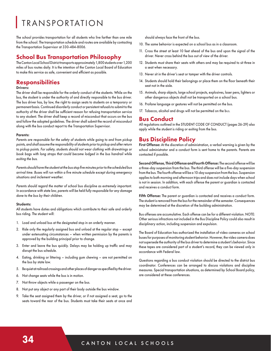# TRANSPORTATION

The school provides transportation for all students who live farther than one mile from the school. The transportation schedule and routes are available by contacting the Transportation Supervisor at 330-484-8006.

#### School Bus Transportation Philosophy

The Canton Local School District transports approximately 1,800 students over 1,200 miles of bus routes daily. It is the intention of the Canton Local Board of Education to make this service as safe, convenient and efficient as possible.

## **Responsibilities**

Drivers:

The driver shall be responsible for the orderly conduct of the students. While on the bus, the student is under the authority of and directly responsible to the bus driver. The bus driver has, by law, the right to assign seats to students on a temporary or permanent basis. Continued disorderly conduct or persistent refusals to submit to the authority of the driver shall be sufficient reason for refusing transportation service to any student. The driver shall keep a record of misconduct that occurs on the bus and follow the adopted guidelines. The driver shall submit the record of misconduct along with the bus conduct report to the Transportation Supervisor.

#### Parents:

*Parents are responsible for the safety of students while going to and from pickup points, and shall assume the responsibility of students prior to pickup and after return*  to pickup points. For safety, students should not wear clothing with drawstrings or *book bags with long straps that could become lodged in the bus handrail while exiting the bus.*

*Parents should have the student at the bus stop five minutes prior to the scheduled bus arrival time. Buses will run within a five minute schedule except during emergency situations and inclement weather.*

Parents should regard the matter of school bus discipline as extremely important. *In accordance with state law, parents will be held fully responsible for any damage done to the bus by their children.*

#### Students:

All students have duties and obligations which contribute to their safe and orderly bus riding. The student will:

- 1. Load and unload bus at the designated stop in an orderly manner.
- 2. Ride only the regularly assigned bus and unload at the regular stop except under extenuating circumstances – when written permission by the parents is approved by the building principal prior to change.
- 3. Enter and leave the bus quickly. Delays may be holding up traffic and may disrupt the bus schedule.
- 4. Eating, drinking or littering including gum chewing are not permitted on the bus by state law.
- 5. Be quiet at railroad crossings and other places of danger as specified by the driver.
- 6. Not change seats while the bus is in motion.
- 7. Not throw objects while a passenger on the bus.
- 8. Not put any object or any part of their body outside the bus window.
- 9. Take the seat assigned them by the driver, or if not assigned a seat, go to the seats toward the rear of the bus. Students must take their seats at once and

should always face the front of the bus.

- 10. The same behavior is expected on a school bus as in a classroom.
- 11. Cross the street at least 10 feet ahead of the bus and upon the signal of the driver. Never cross behind the bus out of view of the driver.
- 12. Students must share their seats with others and may be required to sit three in a seat when necessary.
- 13. Never sit in the driver's seat or tamper with the driver controls.
- 14. Students should hold their belongings or place them on the floor beneath their seat not in the aisle.
- 15. Animals, sharp objects, large school projects, explosives, laser pens, lighters or other dangerous objects shall not be transported on a school bus.
- 16. Profane language or gestures will not be permitted on the bus.
- 17. Tobacco, alcohol and drugs will not be permitted on the bus.

#### Bus Conduct

All regulations outlined in the STUDENT CODE OF CONDUCT (pages 26-29) also apply while the student is riding or exiting from the bus.

#### Bus Discipline Policy

First Offense: At the discretion of administration, a verbal warning is given by the school administrator and a conduct form is sent home to the parents. Parents are contacted if possible.

Second Offense, Third Offense and Fourth Offense: The second offense will be a three-day suspension from the bus. The third offense will be a five-day suspension from the bus. The fourth offense will be a 10-day suspension from the bus. Suspension applies to both morning and afternoon trips and does not include days when school is not in session. In addition, with each offense the parent or guardian is contacted and receives a conduct form.

Fifth Offense: The parent or guardian is contacted and receives a conduct form. The student is removed from the bus for the remainder of the semester. Consequences may be determined at the discretion of the building administration.

Bus offenses are accumulative. Each offense can be for a different violation. NOTE: Other serious infractions not included in the Bus Discipline Policy could also result in disciplinary action, including suspension and expulsion.

The Board of Education has authorized the installation of video cameras on school buses for purposes of monitoring student behavior. However, the video camera does not supersede the authority of the bus driver to determine a student's behavior. Since these tapes are considered part of a student's record, they can be viewed only in accordance with Federal law.

Questions regarding a bus conduct violation should be directed to the district bus coordinator. Conferences can be arranged to discuss violations and discipline measures. Special transportation situations, as determined by School Board policy, are considered at these conferences.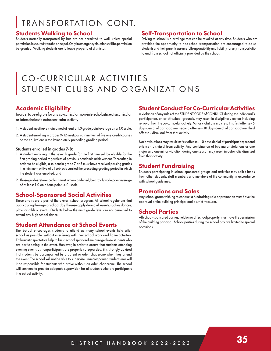# TRANSPORTATION CONT.

#### Students Walking to School

Students normally transported by bus are not permitted to walk unless special permission is secured from the principal. Only in emergency situations will be permission be granted, Walking students are to leave property at dismissal.

#### Self-Transportation to School

Driving to school is a privilege that can be revoked at any time. Students who are provided the opportunity to ride school transportation are encouraged to do so. Students and their parents assume full responsibility and liability for any transportation to and from school not officially provided by the school.

# CO-CURRICULAR ACTIVITIES STUDENT CLUBS AND ORGANIZATIONS

# Academic Eligibility

In order to be eligible for any co-curricular, non-interscholastic extracurricular or interscholastic extracurricular activity:

- 1. A student must have maintained at least a 1.0 grade point average on a 4.0 scale.
- 2. A student enrolling in grades 9-12 must pass a minimum of five one-credit courses or the equivalent in the immediately preceding grading period.

#### Students enrolled in grades 7-8:

- 1. A student enrolling in the seventh grade for the first time will be eligible for the first grading period regardless of previous academic achievement. Thereafter, in order to be eligible, a student in grade 7 or 8 must have received passing grades in a minimum of five of all subjects carried the preceding grading period in which the student was enrolled, and
- 2. Those grades referenced in 1 must, when combined, be a total grade point average of at least 1.0 on a four-point (4.0) scale.

## School-Sponsored Social Activities

These affairs are a part of the overall school program. All school regulations that apply during the regular school day likewise apply during all events, such as dances, plays or athletic events. Students below the ninth grade level are not permitted to attend any high school dance.

#### Student Attendance at School Events

The School encourages students to attend as many school events held after school as possible, without interfering with their school work and home activities. Enthusiastic spectators help to build school spirit and encourage those students who are participating in the event. However, in order to ensure that students attending evening events as nonparticipants are properly safeguarded, it is strongly advised that students be accompanied by a parent or adult chaperone when they attend the event. The school will not be able to supervise unaccompanied students nor will it be responsible for students who arrive without an adult chaperone. The school will continue to provide adequate supervision for all students who are participants in a school activity.

#### Student Conduct For Co-Curricular Activities

A violation of any rules of the STUDENT CODE of CONDUCT during the individual's participation, on or off school grounds, may result in disciplinary action including removal from the co-curricular activity. Minor violations may result in: first offense - 5 days denial of participation; second offense - 10 days denial of participation; third offense - dismissal from that activity.

Major violations may result in: first offense - 10 days denial of participation; second offense - dismissal from activity. Any combination of two major violations or one major and one minor violation during one season may result in automatic dismissal from that activity.

## Student Fundraising

Students participating in school-sponsored groups and activities may solicit funds from other students, staff members and members of the community in accordance with school guidelines.

#### Promotions and Sales

Any school group wishing to conduct a fundraising sale or promotion must have the approval of the building principal and district treasurer.

#### School Parties

All school-sponsored parties, held on or off school property, must have the permission of the building principal. School parties during the school day are limited to special occasions.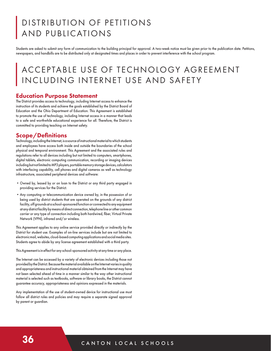# DISTRIBUTION OF PETITIONS AND PUBLICATIONS

Students are asked to submit any form of communication to the building principal for approval. A two-week notice must be given prior to the publication date. Petitions, newspapers, and handbills are to be distributed only at designated times and places in order to prevent interference with the school program.

# ACCEPTABLE USE OF TECHNOLOGY AGREEMENT INCLUDING INTERNET USE AND SAFETY

#### Education Purpose Statement

The District provides access to technology, including Internet access to enhance the instruction of its students and achieve the goals established by the District Board of Education and the Ohio Department of Education. This Agreement is established to promote the use of technology, including Internet access in a manner that leads to a safe and worthwhile educational experience for all. Therefore, the District is committed to providing teaching on Internet safety.

## Scope/Definitions

Technology, including the Internet, is a source of instructional material to which students and employees have access both inside and outside the boundaries of the school physical and temporal environment. This Agreement and the associated rules and regulations refer to all devices including but not limited to computers, smartphones, digital tablets, electronic computing communication, recording or imaging devices including but not limited to MP3 players, portable memory storage devices, calculators with interfacing capability, cell phones and digital cameras as well as technology infrastructure, associated peripheral devices and software:

- •Owned by, leased by or on loan to the District or any third party engaged in providing services for the District.
- •Any computing or telecommunication device owned by, in the possession of or being used by district students that are operated on the grounds of any district facility, off grounds at a school-sponsored function or connected to any equipment at any district facility by means of direct connection, telephone line or other common carrier or any type of connection including both hardwired, fiber, Virtual Private Network (VPN), infrared and/or wireless.

This Agreement applies to any online service provided directly or indirectly by the District for student use. Examples of on-line services include but are not limited to electronic mail, websites, cloud-based computing applications and social media sites. Students agree to abide by any license agreement established with a third party.

This Agreement is in effect for any school-sponsored activity at any time or any place.

The Internet can be accessed by a variety of electronic devices including those not provided by the District. Because the material available on the Internet varies in quality and appropriateness and instructional material obtained from the Internet may have not been selected ahead of time in a manner similar to the way other instructional material is selected such as textbooks, software or library books, the District cannot guarantee accuracy, appropriateness and opinions expressed in the materials.

Any implementation of the use of student-owned device for instructional use must follow all district rules and policies and may require a separate signed approval by parent or guardian.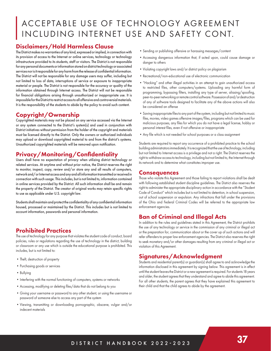# ACCEPTABLE USE OF TECHNOLOGY AGREEMENT INCLUDING INTERNET USE AND SAFETY CONT.

## Disclaimers/Hold Harmless Clause

The District makes no warranties of any kind, expressed or implied, in connection with its provision of access to the Internet or online services, technology or technology infrastructure provided to its students, staff or visitors. The District is not responsible for any personal documents or information stored on district technology or associated services nor is it responsible for any harm from the release of confidential information. The District will not be responsible for any damage users may suffer, including but not limited to loss of data, interruptions of service or exposure to inappropriate material or people. The District is not responsible for the accuracy or quality of the information obtained through Internet access. The District will not be responsible for financial obligations arising through unauthorized or inappropriate use. It is impossible for the District to restrict access to all offensive and controversial materials. It is the responsibility of the students to abide by the policy to avoid such content.

# Copyright/Ownership

Copyrighted materials may not be placed on any service accessed via the Internet or any system connected to the District's system(s) and used in conjunction with District initiatives without permission from the holder of the copyright and materials must be licensed directly to the District. Only the owners or authorized individuals may upload or download copyrighted material to and from the district's systems. Unauthorized copyrighted materials will be removed upon notification.

# Privacy/Monitoring/Confidentiality

Users shall have no expectation of privacy when utilizing district technology or related services. At anytime and without prior notice, the District reserves the right to monitor, inspect, copy, review and/or store any and all results of computers, network and/or Internet access and any and all information transmitted or received in connection with such usage. This includes, but is not limited to, information contained in online services provided by the District. All such information shall be and remain the property of the District. The creator of original works may retain specific rights to use as applicable under U.S. copyright law.

Students shall maintain and protect the confidentiality of any confidential information housed, processed or maintained by the District. This includes but is not limited to account information, passwords and personal information.

## Prohibited Practices

The use of technology for any purpose that violates the student code of conduct, board policies, rules or regulations regarding the use of technology in the district, building or classroom or any use which is outside the educational purpose is prohibited. This includes, but is not limited to:

- •Theft, destruction of property
- •Purchasing goods or services
- •Bullying
- Interfering with the normal functioning of computers, systems or networks
- •Accessing, modifying or deleting files/data that do not belong to you
- •Giving your username or password to any other student, or using the username or password of someone else to access any part of the system
- •Viewing, transmitting or downloading pornographic, obscene, vulgar and/or indecent materials
- •Sending or publishing offensive or harassing messages/content
- •Accessing dangerous information that, if acted upon, could cause damage or danger to others
- •Violating copyright laws and/or district policy on plagiarism
- •Recreational/non-educational use of electronic communication
- •"Hacking" and other illegal activities in an attempt to gain unauthorized access to restricted files, other computers/systems. Uploading any harmful form of programming, bypassing filters, installing any type of server, aliasing/spoofing, peer-to-peer networking or remote control software. Possession of and/or destruction of any of software tools designed to facilitate any of the above actions will also be considered an offense
- •Saving inappropriate files to any part of the system, including but not limited to music files, movies, video games offensive images/files, programs which can be used for malicious purposes, any files for which you do not have a legal license, hobby or personal interest files, even if not offensive or inappropriate
- •Any file which is not needed for school purposes or a class assignment

Students are required to report any occurrence of a prohibited practice to the school building administrators immediately. It is recognized that the use of technology, including but not limited to Internet access is a privilege and not a right. The District reserves the right to withdraw access to technology, including but not limited to, the Internet through its network and to determine what constitutes improper use.

#### **Consequences**

Those who violate this Agreement and those failing to report violations shall be dealt with following established student discipline guidelines. The District also reserves the right to administer the appropriate disciplinary action in accordance with the "Student Code of Conduct" which includes but is not limited to detention, in school suspension, out of school suspension or expulsion. Any infractions that fall under the provisions of the Ohio and Federal Criminal Codes will be referred to the appropriate law enforcement agencies.

#### Ban of Criminal and Illegal Acts

In addition to the rules and guidelines stated in this Agreement, the District prohibits the use of any technology or service in the commission of any criminal or illegal act or the preparation for, communication about or the cover up of such actions and will refer offenders to proper law enforcement agencies. The District also reserves the right to seek monetary and/or other damages resulting from any criminal or illegal act or violation of this Agreement.

## Signatures/Acknowledgment

Students and residential parent(s) or guardian(s) shall agree to and acknowledge the information disclosed in this agreement by signing below. This agreement is in effect until the student leaves the District or a new agreement is required. For students 18 years and older, the student agrees that they understand and agree to abide this agreement. For all other students, the parent agrees that they have explained this agreement to their child and that the child agrees to abide by the agreement.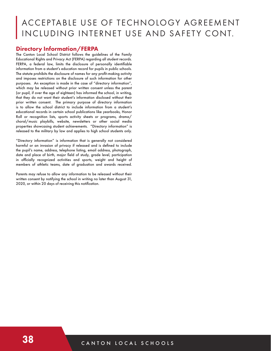# ACCEPTABLE USE OF TECHNOLOGY AGREEMENT INCLUDING INTERNET USE AND SAFETY CONT.

#### Directory Information/FERPA

The Canton Local School District follows the guidelines of the Family Educational Rights and Privacy Act (FERPA) regarding all student records. FERPA, a federal law, limits the disclosure of personally identifiable information from a student's education record for pupils in public schools. The statute prohibits the disclosure of names for any profit-making activity and imposes restrictions on the disclosure of such information for other purposes. An exception is made in the case of "directory information", which may be released without prior written consent unless the parent (or pupil, if over the age of eighteen) has informed the school, in writing, that they do not want their student's information disclosed without their prior written consent. The primary purpose of directory information is to allow the school district to include information from a student's educational records in certain school publications like yearbooks, Honor Roll or recognition lists, sports activity sheets or programs, drama/ choral/music playbills, website, newsletters or other social media properties showcasing student achievements. "Directory information" is released to the military by law and applies to high school students only.

"Directory information" is information that is generally not considered harmful or an invasion of privacy if released and is defined to include the pupil's name, address, telephone listing, email address, photograph, date and place of birth, major field of study, grade level, participation in officially recognized activities and sports, weight and height of members of athletic teams, date of graduation and awards received.

Parents may refuse to allow any information to be released without their written consent by notifying the school in writing no later than August 31, 2020, or within 20 days of receiving this notification.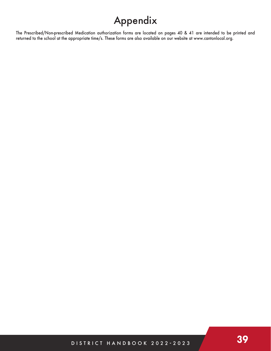# Appendix

The Prescribed/Non-prescribed Medication authorization forms are located on pages 40 & 41 are intended to be printed and returned to the school at the appropriate time/s. These forms are also available on our website at www.cantonlocal.org.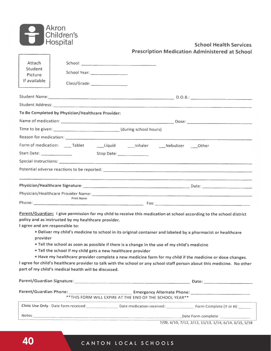

## **School Health Services Prescription Medication Administered at School**

| <b>Attach</b><br><b>Student</b><br>Picture<br>If available |                                                                                                             |                                                                                                                                                                                                                                                                                                                                                                                                                                                                                                                                                                                                                                              |                     |
|------------------------------------------------------------|-------------------------------------------------------------------------------------------------------------|----------------------------------------------------------------------------------------------------------------------------------------------------------------------------------------------------------------------------------------------------------------------------------------------------------------------------------------------------------------------------------------------------------------------------------------------------------------------------------------------------------------------------------------------------------------------------------------------------------------------------------------------|---------------------|
|                                                            |                                                                                                             | Student Name: D.O.B.: D.O.B.: D.O.B.: Property of the Student Name:                                                                                                                                                                                                                                                                                                                                                                                                                                                                                                                                                                          |                     |
|                                                            |                                                                                                             |                                                                                                                                                                                                                                                                                                                                                                                                                                                                                                                                                                                                                                              |                     |
|                                                            | To Be Completed by Physician/Healthcare Provider:                                                           |                                                                                                                                                                                                                                                                                                                                                                                                                                                                                                                                                                                                                                              |                     |
|                                                            |                                                                                                             |                                                                                                                                                                                                                                                                                                                                                                                                                                                                                                                                                                                                                                              |                     |
|                                                            |                                                                                                             |                                                                                                                                                                                                                                                                                                                                                                                                                                                                                                                                                                                                                                              |                     |
|                                                            |                                                                                                             |                                                                                                                                                                                                                                                                                                                                                                                                                                                                                                                                                                                                                                              |                     |
|                                                            |                                                                                                             | Form of medication: _____ Tablet __________Liquid ________Inhaler ________Nebulizer _____Other                                                                                                                                                                                                                                                                                                                                                                                                                                                                                                                                               |                     |
|                                                            |                                                                                                             | Start Date: Stop Date:                                                                                                                                                                                                                                                                                                                                                                                                                                                                                                                                                                                                                       |                     |
|                                                            |                                                                                                             |                                                                                                                                                                                                                                                                                                                                                                                                                                                                                                                                                                                                                                              |                     |
|                                                            |                                                                                                             |                                                                                                                                                                                                                                                                                                                                                                                                                                                                                                                                                                                                                                              |                     |
|                                                            |                                                                                                             |                                                                                                                                                                                                                                                                                                                                                                                                                                                                                                                                                                                                                                              |                     |
|                                                            |                                                                                                             |                                                                                                                                                                                                                                                                                                                                                                                                                                                                                                                                                                                                                                              |                     |
|                                                            | <b>Print Name</b>                                                                                           |                                                                                                                                                                                                                                                                                                                                                                                                                                                                                                                                                                                                                                              |                     |
| I agree and am responsible to:<br>provider                 | policy and as instructed by my healthcare provider.<br>part of my child's medical health will be discussed. | Parent/Guardian: I give permission for my child to receive this medication at school according to the school district<br>. Deliver my child's medicine to school in its original container and labeled by a pharmacist or healthcare<br>• Tell the school as soon as possible if there is a change in the use of my child's medicine<br>. Tell the school if my child gets a new healthcare provider<br>. Have my healthcare provider complete a new medicine form for my child if the medicine or dose changes.<br>I agree for child's healthcare provider to talk with the school or any school staff person about this medicine. No other |                     |
|                                                            |                                                                                                             |                                                                                                                                                                                                                                                                                                                                                                                                                                                                                                                                                                                                                                              |                     |
|                                                            |                                                                                                             | ** THIS FORM WILL EXPIRE AT THE END OF THE SCHOOL YEAR**                                                                                                                                                                                                                                                                                                                                                                                                                                                                                                                                                                                     |                     |
|                                                            |                                                                                                             |                                                                                                                                                                                                                                                                                                                                                                                                                                                                                                                                                                                                                                              |                     |
| Notes:                                                     |                                                                                                             |                                                                                                                                                                                                                                                                                                                                                                                                                                                                                                                                                                                                                                              | Date Form complete: |

7/09, 4/10, 7/12, 2/13, 11/13, 1/14, 6/14, 6/15, 5/18